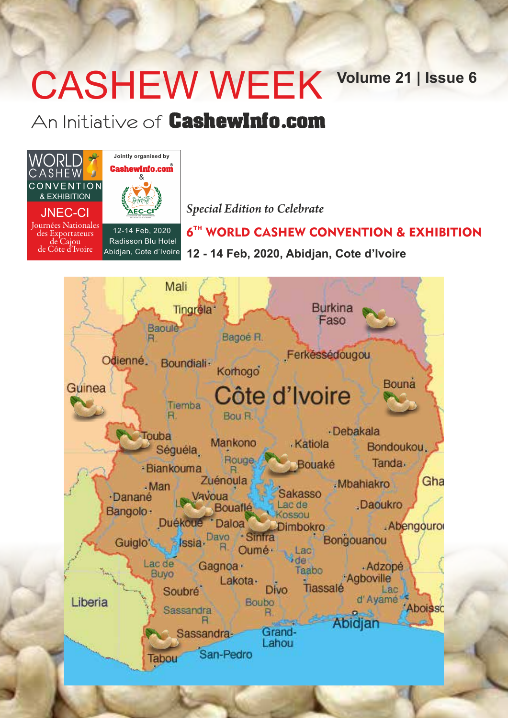# CASHEW WEEK Volume 21 | Issue 6

### An Initiative of CashewInfo.com



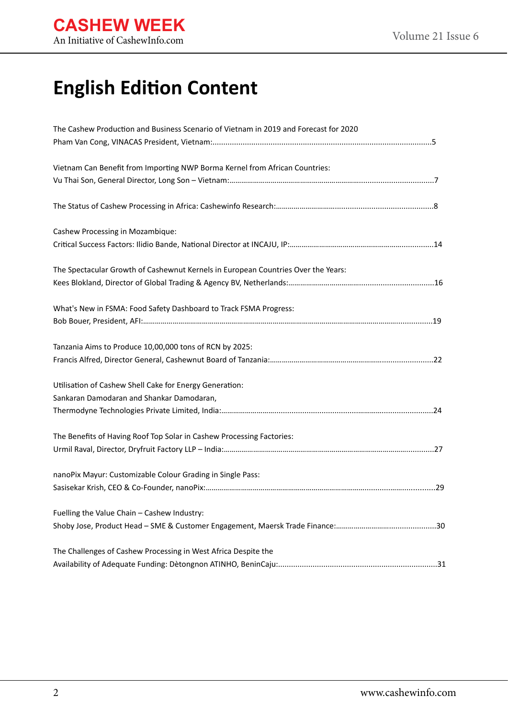# **English Edition Content**

| The Cashew Production and Business Scenario of Vietnam in 2019 and Forecast for 2020 |  |
|--------------------------------------------------------------------------------------|--|
|                                                                                      |  |
| Vietnam Can Benefit from Importing NWP Borma Kernel from African Countries:          |  |
|                                                                                      |  |
|                                                                                      |  |
| Cashew Processing in Mozambique:                                                     |  |
|                                                                                      |  |
| The Spectacular Growth of Cashewnut Kernels in European Countries Over the Years:    |  |
|                                                                                      |  |
| What's New in FSMA: Food Safety Dashboard to Track FSMA Progress:                    |  |
|                                                                                      |  |
| Tanzania Aims to Produce 10,00,000 tons of RCN by 2025:                              |  |
|                                                                                      |  |
| Utilisation of Cashew Shell Cake for Energy Generation:                              |  |
| Sankaran Damodaran and Shankar Damodaran,                                            |  |
|                                                                                      |  |
| The Benefits of Having Roof Top Solar in Cashew Processing Factories:                |  |
|                                                                                      |  |
| nanoPix Mayur: Customizable Colour Grading in Single Pass:                           |  |
|                                                                                      |  |
| Fuelling the Value Chain - Cashew Industry:                                          |  |
|                                                                                      |  |
| The Challenges of Cashew Processing in West Africa Despite the                       |  |
|                                                                                      |  |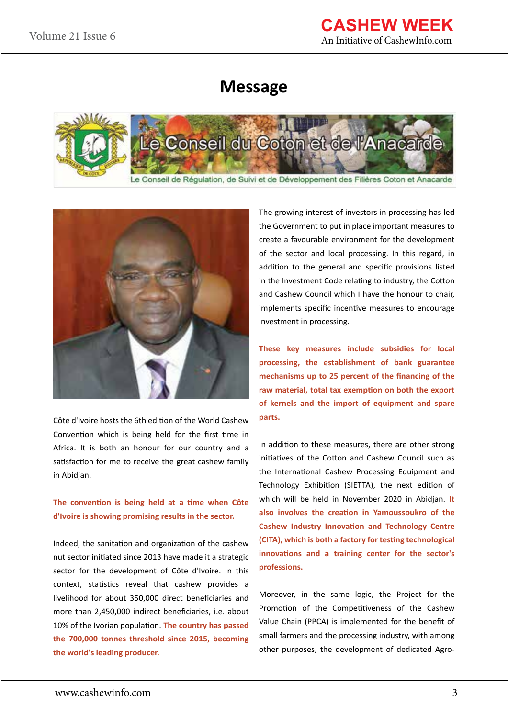### **Message**





Côte d'Ivoire hosts the 6th edition of the World Cashew Convention which is being held for the first time in Africa. It is both an honour for our country and a satisfaction for me to receive the great cashew family in Abidjan.

#### **The convention is being held at a time when Côte d'Ivoire is showing promising results in the sector.**

Indeed, the sanitation and organization of the cashew nut sector initiated since 2013 have made it a strategic sector for the development of Côte d'Ivoire. In this context, statistics reveal that cashew provides a livelihood for about 350,000 direct beneficiaries and more than 2,450,000 indirect beneficiaries, i.e. about 10% of the Ivorian population. **The country has passed the 700,000 tonnes threshold since 2015, becoming the world's leading producer.**

The growing interest of investors in processing has led the Government to put in place important measures to create a favourable environment for the development of the sector and local processing. In this regard, in addition to the general and specific provisions listed in the Investment Code relating to industry, the Cotton and Cashew Council which I have the honour to chair, implements specific incentive measures to encourage investment in processing.

**These key measures include subsidies for local processing, the establishment of bank guarantee mechanisms up to 25 percent of the financing of the raw material, total tax exemption on both the export of kernels and the import of equipment and spare parts.** 

In addition to these measures, there are other strong initiatives of the Cotton and Cashew Council such as the International Cashew Processing Equipment and Technology Exhibition (SIETTA), the next edition of which will be held in November 2020 in Abidjan. **It also involves the creation in Yamoussoukro of the Cashew Industry Innovation and Technology Centre (CITA), which is both a factory for testing technological innovations and a training center for the sector's professions.** 

Moreover, in the same logic, the Project for the Promotion of the Competitiveness of the Cashew Value Chain (PPCA) is implemented for the benefit of small farmers and the processing industry, with among other purposes, the development of dedicated Agro-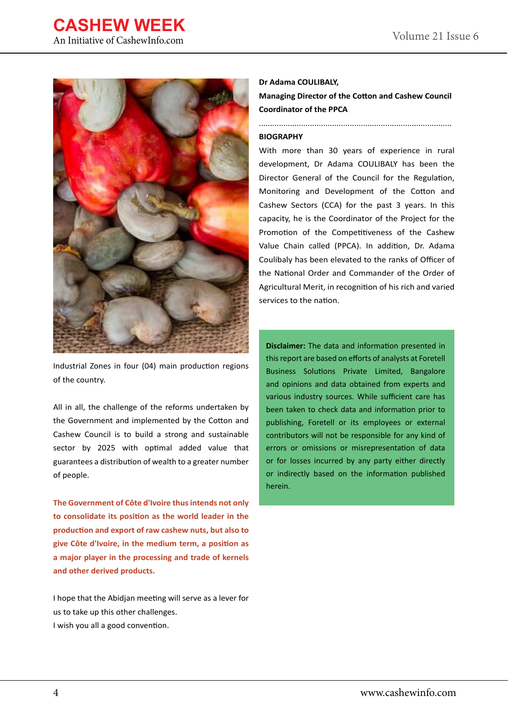### **CASHEW WEEK** An Initiative of CashewInfo.com



Industrial Zones in four (04) main production regions of the country.

All in all, the challenge of the reforms undertaken by the Government and implemented by the Cotton and Cashew Council is to build a strong and sustainable sector by 2025 with optimal added value that guarantees a distribution of wealth to a greater number of people.

**The Government of Côte d'Ivoire thus intends not only to consolidate its position as the world leader in the production and export of raw cashew nuts, but also to give Côte d'Ivoire, in the medium term, a position as a major player in the processing and trade of kernels and other derived products.**

I hope that the Abidjan meeting will serve as a lever for us to take up this other challenges. I wish you all a good convention.

#### **Dr Adama COULIBALY,**

**Managing Director of the Cotton and Cashew Council Coordinator of the PPCA**

#### **BIOGRAPHY**

With more than 30 years of experience in rural development, Dr Adama COULIBALY has been the Director General of the Council for the Regulation, Monitoring and Development of the Cotton and Cashew Sectors (CCA) for the past 3 years. In this capacity, he is the Coordinator of the Project for the Promotion of the Competitiveness of the Cashew Value Chain called (PPCA). In addition, Dr. Adama Coulibaly has been elevated to the ranks of Officer of the National Order and Commander of the Order of Agricultural Merit, in recognition of his rich and varied services to the nation.

**Disclaimer:** The data and information presented in this report are based on efforts of analysts at Foretell Business Solutions Private Limited, Bangalore and opinions and data obtained from experts and various industry sources. While sufficient care has been taken to check data and information prior to publishing, Foretell or its employees or external contributors will not be responsible for any kind of errors or omissions or misrepresentation of data or for losses incurred by any party either directly or indirectly based on the information published herein.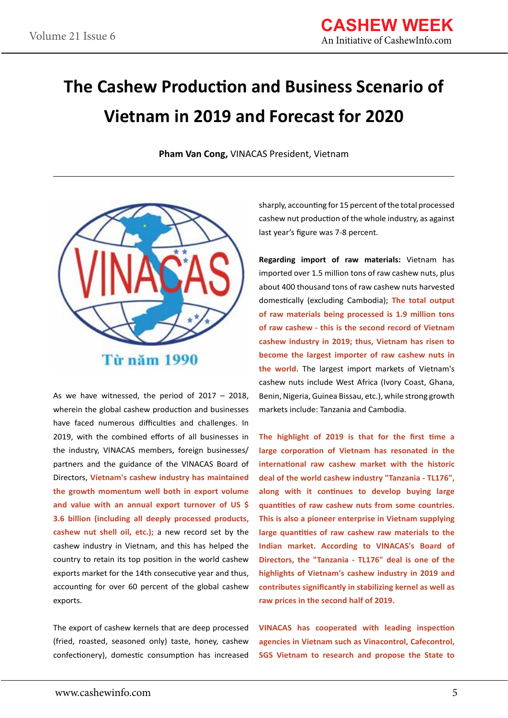# **The Cashew Production and Business Scenario of Vietnam in 2019 and Forecast for 2020**

**Pham Van Cong,** VINACAS President, Vietnam



As we have witnessed, the period of 2017 – 2018, wherein the global cashew production and businesses have faced numerous difficulties and challenges. In 2019, with the combined efforts of all businesses in the industry, VINACAS members, foreign businesses/ partners and the guidance of the VINACAS Board of Directors, **Vietnam's cashew industry has maintained the growth momentum well both in export volume and value with an annual export turnover of US \$ 3.6 billion (including all deeply processed products, cashew nut shell oil, etc.);** a new record set by the cashew industry in Vietnam, and this has helped the country to retain its top position in the world cashew exports market for the 14th consecutive year and thus, accounting for over 60 percent of the global cashew exports.

The export of cashew kernels that are deep processed (fried, roasted, seasoned only) taste, honey, cashew confectionery), domestic consumption has increased sharply, accounting for 15 percent of the total processed cashew nut production of the whole industry, as against last year's figure was 7-8 percent.

**Regarding import of raw materials:** Vietnam has imported over 1.5 million tons of raw cashew nuts, plus about 400 thousand tons of raw cashew nuts harvested domestically (excluding Cambodia); **The total output of raw materials being processed is 1.9 million tons of raw cashew - this is the second record of Vietnam cashew industry in 2019; thus, Vietnam has risen to become the largest importer of raw cashew nuts in the world.** The largest import markets of Vietnam's cashew nuts include West Africa (Ivory Coast, Ghana, Benin, Nigeria, Guinea Bissau, etc.), while strong growth markets include: Tanzania and Cambodia.

**The highlight of 2019 is that for the first time a large corporation of Vietnam has resonated in the international raw cashew market with the historic deal of the world cashew industry "Tanzania - TL176", along with it continues to develop buying large quantities of raw cashew nuts from some countries. This is also a pioneer enterprise in Vietnam supplying large quantities of raw cashew raw materials to the Indian market. According to VINACAS's Board of Directors, the "Tanzania - TL176" deal is one of the highlights of Vietnam's cashew industry in 2019 and contributes significantly in stabilizing kernel as well as raw prices in the second half of 2019.**

**VINACAS has cooperated with leading inspection agencies in Vietnam such as Vinacontrol, Cafecontrol, SGS Vietnam to research and propose the State to**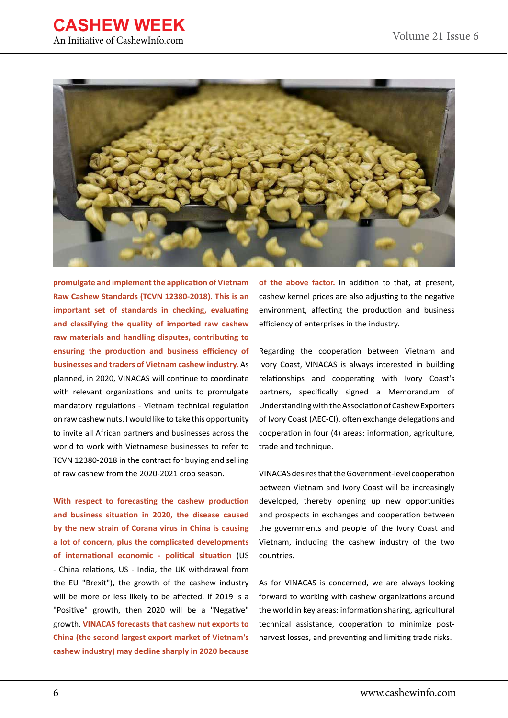



**promulgate and implement the application of Vietnam Raw Cashew Standards (TCVN 12380-2018). This is an important set of standards in checking, evaluating and classifying the quality of imported raw cashew raw materials and handling disputes, contributing to ensuring the production and business efficiency of businesses and traders of Vietnam cashew industry.** As planned, in 2020, VINACAS will continue to coordinate with relevant organizations and units to promulgate mandatory regulations - Vietnam technical regulation on raw cashew nuts. I would like to take this opportunity to invite all African partners and businesses across the world to work with Vietnamese businesses to refer to TCVN 12380-2018 in the contract for buying and selling of raw cashew from the 2020-2021 crop season.

**With respect to forecasting the cashew production and business situation in 2020, the disease caused by the new strain of Corana virus in China is causing a lot of concern, plus the complicated developments of international economic - political situation** (US - China relations, US - India, the UK withdrawal from the EU "Brexit"), the growth of the cashew industry will be more or less likely to be affected. If 2019 is a "Positive" growth, then 2020 will be a "Negative" growth. **VINACAS forecasts that cashew nut exports to China (the second largest export market of Vietnam's cashew industry) may decline sharply in 2020 because** 

**of the above factor.** In addition to that, at present, cashew kernel prices are also adjusting to the negative environment, affecting the production and business efficiency of enterprises in the industry.

Regarding the cooperation between Vietnam and Ivory Coast, VINACAS is always interested in building relationships and cooperating with Ivory Coast's partners, specifically signed a Memorandum of Understanding with the Association of Cashew Exporters of Ivory Coast (AEC-CI), often exchange delegations and cooperation in four (4) areas: information, agriculture, trade and technique.

VINACAS desires that the Government-level cooperation between Vietnam and Ivory Coast will be increasingly developed, thereby opening up new opportunities and prospects in exchanges and cooperation between the governments and people of the Ivory Coast and Vietnam, including the cashew industry of the two countries.

As for VINACAS is concerned, we are always looking forward to working with cashew organizations around the world in key areas: information sharing, agricultural technical assistance, cooperation to minimize postharvest losses, and preventing and limiting trade risks.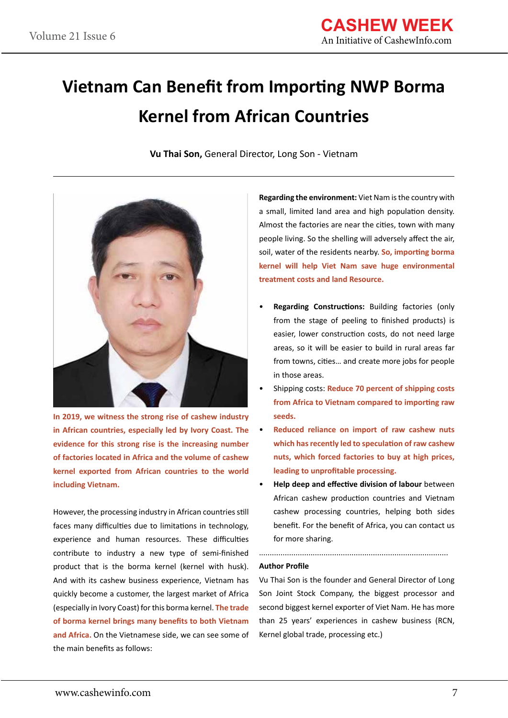# **Vietnam Can Benefit from Importing NWP Borma Kernel from African Countries**

**Vu Thai Son,** General Director, Long Son - Vietnam



**In 2019, we witness the strong rise of cashew industry in African countries, especially led by Ivory Coast. The evidence for this strong rise is the increasing number of factories located in Africa and the volume of cashew kernel exported from African countries to the world including Vietnam.**

However, the processing industry in African countries still faces many difficulties due to limitations in technology, experience and human resources. These difficulties contribute to industry a new type of semi-finished product that is the borma kernel (kernel with husk). And with its cashew business experience, Vietnam has quickly become a customer, the largest market of Africa (especially in Ivory Coast) for this borma kernel. **The trade of borma kernel brings many benefits to both Vietnam and Africa.** On the Vietnamese side, we can see some of the main benefits as follows:

**Regarding the environment:** Viet Nam is the country with a small, limited land area and high population density. Almost the factories are near the cities, town with many people living. So the shelling will adversely affect the air, soil, water of the residents nearby. **So, importing borma kernel will help Viet Nam save huge environmental treatment costs and land Resource.**

- **Regarding Constructions:** Building factories (only from the stage of peeling to finished products) is easier, lower construction costs, do not need large areas, so it will be easier to build in rural areas far from towns, cities… and create more jobs for people in those areas.
- Shipping costs: **Reduce 70 percent of shipping costs from Africa to Vietnam compared to importing raw seeds.**
- **Reduced reliance on import of raw cashew nuts which has recently led to speculation of raw cashew nuts, which forced factories to buy at high prices, leading to unprofitable processing.**
- **Help deep and effective division of labour** between African cashew production countries and Vietnam cashew processing countries, helping both sides benefit. For the benefit of Africa, you can contact us for more sharing.

........................................................................................

#### **Author Profile**

Vu Thai Son is the founder and General Director of Long Son Joint Stock Company, the biggest processor and second biggest kernel exporter of Viet Nam. He has more than 25 years' experiences in cashew business (RCN, Kernel global trade, processing etc.)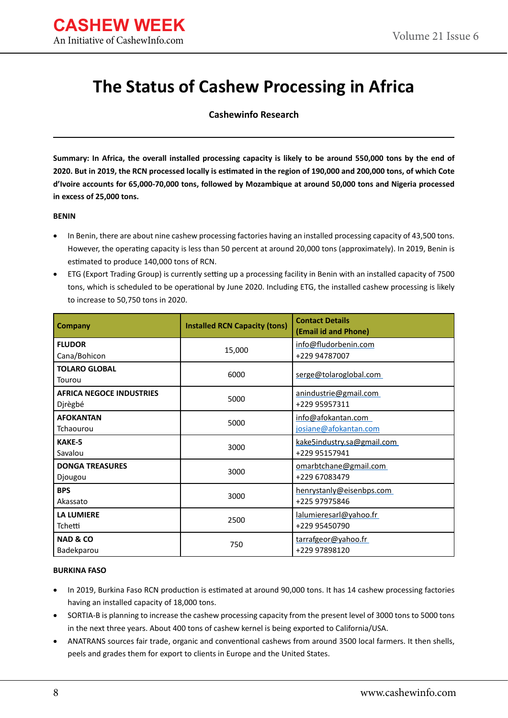### **The Status of Cashew Processing in Africa**

**Cashewinfo Research**

**Summary: In Africa, the overall installed processing capacity is likely to be around 550,000 tons by the end of 2020. But in 2019, the RCN processed locally is estimated in the region of 190,000 and 200,000 tons, of which Cote d'Ivoire accounts for 65,000-70,000 tons, followed by Mozambique at around 50,000 tons and Nigeria processed in excess of 25,000 tons.**

#### **BENIN**

- In Benin, there are about nine cashew processing factories having an installed processing capacity of 43,500 tons. However, the operating capacity is less than 50 percent at around 20,000 tons (approximately). In 2019, Benin is estimated to produce 140,000 tons of RCN.
- ETG (Export Trading Group) is currently setting up a processing facility in Benin with an installed capacity of 7500 tons, which is scheduled to be operational by June 2020. Including ETG, the installed cashew processing is likely to increase to 50,750 tons in 2020.

| Company                                    | <b>Installed RCN Capacity (tons)</b> | <b>Contact Details</b><br>(Email id and Phone) |  |
|--------------------------------------------|--------------------------------------|------------------------------------------------|--|
| <b>FLUDOR</b><br>Cana/Bohicon              | 15,000                               | info@fludorbenin.com<br>+229 94787007          |  |
| <b>TOLARO GLOBAL</b><br>Tourou             | 6000                                 | serge@tolaroglobal.com                         |  |
| <b>AFRICA NEGOCE INDUSTRIES</b><br>Djrègbé | 5000                                 | anindustrie@gmail.com<br>+229 95957311         |  |
| <b>AFOKANTAN</b><br>Tchaourou              | 5000                                 | info@afokantan.com<br>josiane@afokantan.com    |  |
| <b>KAKE-5</b><br>Savalou                   | 3000                                 | kake5industry.sa@gmail.com<br>+229 95157941    |  |
| <b>DONGA TREASURES</b><br>Djougou          | 3000                                 | omarbtchane@gmail.com<br>+229 67083479         |  |
| <b>BPS</b><br>Akassato                     | 3000                                 | henrystanly@eisenbps.com<br>+225 97975846      |  |
| <b>LA LUMIERE</b><br>Tchetti               | 2500                                 | lalumieresarl@yahoo.fr<br>+229 95450790        |  |
| <b>NAD &amp; CO</b><br>Badekparou          | 750                                  | tarrafgeor@yahoo.fr<br>+229 97898120           |  |

#### **BURKINA FASO**

- In 2019, Burkina Faso RCN production is estimated at around 90,000 tons. It has 14 cashew processing factories having an installed capacity of 18,000 tons.
- SORTIA-B is planning to increase the cashew processing capacity from the present level of 3000 tons to 5000 tons in the next three years. About 400 tons of cashew kernel is being exported to California/USA.
- ANATRANS sources fair trade, organic and conventional cashews from around 3500 local farmers. It then shells, peels and grades them for export to clients in Europe and the United States.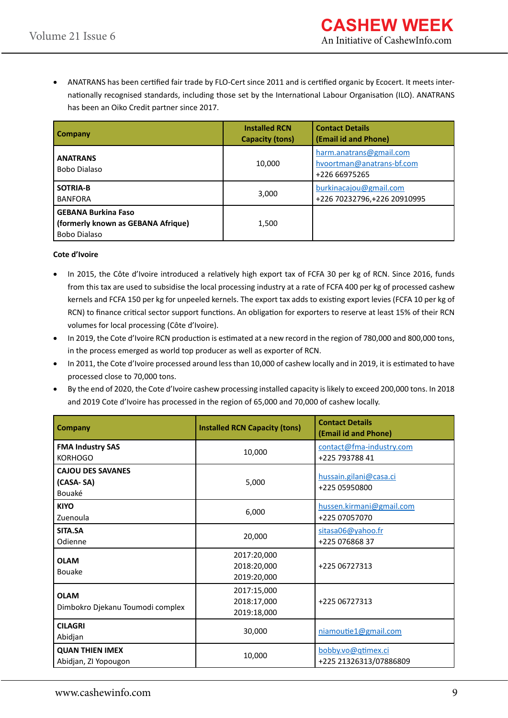ANATRANS has been certified fair trade by FLO-Cert since 2011 and is certified organic by Ecocert. It meets internationally recognised standards, including those set by the International Labour Organisation (ILO). ANATRANS has been an Oiko Credit partner since 2017.

| Company                                                                          | <b>Installed RCN</b><br><b>Capacity (tons)</b> | <b>Contact Details</b><br>(Email id and Phone)                        |
|----------------------------------------------------------------------------------|------------------------------------------------|-----------------------------------------------------------------------|
| <b>ANATRANS</b><br>Bobo Dialaso                                                  | 10,000                                         | harm.anatrans@gmail.com<br>hvoortman@anatrans-bf.com<br>+226 66975265 |
| SOTRIA-B<br><b>BANFORA</b>                                                       | 3,000                                          | burkinacajou@gmail.com<br>+226 70232796, +226 20910995                |
| <b>GEBANA Burkina Faso</b><br>(formerly known as GEBANA Afrique)<br>Bobo Dialaso | 1,500                                          |                                                                       |

#### **Cote d'Ivoire**

- In 2015, the Côte d'Ivoire introduced a relatively high export tax of FCFA 30 per kg of RCN. Since 2016, funds from this tax are used to subsidise the local processing industry at a rate of FCFA 400 per kg of processed cashew kernels and FCFA 150 per kg for unpeeled kernels. The export tax adds to existing export levies (FCFA 10 per kg of RCN) to finance critical sector support functions. An obligation for exporters to reserve at least 15% of their RCN volumes for local processing (Côte d'Ivoire).
- In 2019, the Cote d'Ivoire RCN production is estimated at a new record in the region of 780,000 and 800,000 tons, in the process emerged as world top producer as well as exporter of RCN.
- In 2011, the Cote d'Ivoire processed around less than 10,000 of cashew locally and in 2019, it is estimated to have processed close to 70,000 tons.
- • By the end of 2020, the Cote d'Ivoire cashew processing installed capacity is likely to exceed 200,000 tons. In 2018 and 2019 Cote d'Ivoire has processed in the region of 65,000 and 70,000 of cashew locally.

| <b>Company</b>                                  | <b>Installed RCN Capacity (tons)</b>      | <b>Contact Details</b><br>(Email id and Phone) |
|-------------------------------------------------|-------------------------------------------|------------------------------------------------|
| <b>FMA Industry SAS</b><br><b>KORHOGO</b>       | 10,000                                    | contact@fma-industry.com<br>+225 793788 41     |
| <b>CAJOU DES SAVANES</b><br>(CASA-SA)<br>Bouaké | 5,000                                     | hussain.gilani@casa.ci<br>+225 05950800        |
| <b>KIYO</b><br>Zuenoula                         | 6,000                                     | hussen.kirmani@gmail.com<br>+225 07057070      |
| SITA.SA<br>Odienne                              | 20,000                                    | sitasa06@yahoo.fr<br>+225 076868 37            |
| <b>OLAM</b><br><b>Bouake</b>                    | 2017:20,000<br>2018:20,000<br>2019:20,000 | +225 06727313                                  |
| <b>OLAM</b><br>Dimbokro Djekanu Toumodi complex | 2017:15,000<br>2018:17,000<br>2019:18,000 | +225 06727313                                  |
| <b>CILAGRI</b><br>Abidjan                       | 30,000                                    | niamoutie1@gmail.com                           |
| <b>QUAN THIEN IMEX</b><br>Abidjan, ZI Yopougon  | 10,000                                    | bobby.vo@qtimex.ci<br>+225 21326313/07886809   |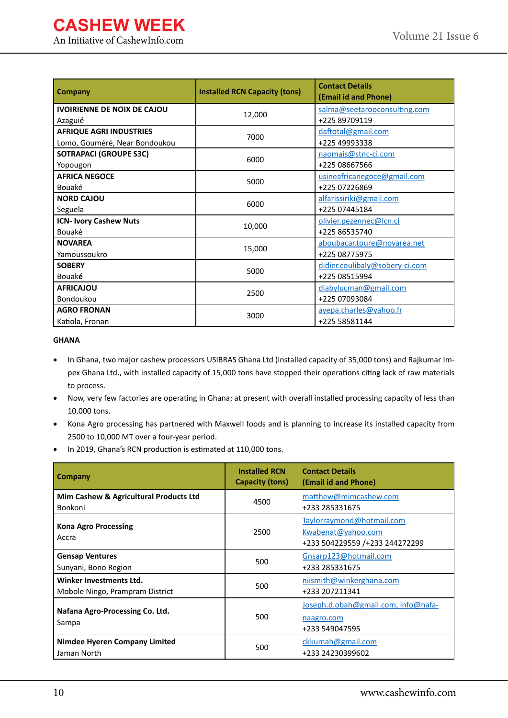### **CASHEW WEEK** An Initiative of CashewInfo.com

| <b>Company</b>                                                  | <b>Installed RCN Capacity (tons)</b> | <b>Contact Details</b><br>(Email id and Phone)  |
|-----------------------------------------------------------------|--------------------------------------|-------------------------------------------------|
| <b>IVOIRIENNE DE NOIX DE CAJOU</b><br>Azaguié                   | 12,000                               | salma@seetarooconsulting.com<br>+225 89709119   |
| <b>AFRIQUE AGRI INDUSTRIES</b><br>Lomo, Gouméré, Near Bondoukou | 7000                                 | daftotal@gmail.com<br>+225 49993338             |
| <b>SOTRAPACI (GROUPE S3C)</b><br>Yopougon                       | 6000                                 | naomais@stnc-ci.com<br>+225 08667566            |
| <b>AFRICA NEGOCE</b><br>Bouaké                                  | 5000                                 | usineafricanegoce@gmail.com<br>+225 07226869    |
| <b>NORD CAJOU</b><br>Seguela                                    | 6000                                 | alfarissiriki@gmail.com<br>+225 07445184        |
| <b>ICN- Ivory Cashew Nuts</b><br>Bouaké                         | 10,000                               | olivier.pezennec@icn.ci<br>+225 86535740        |
| <b>NOVAREA</b><br>Yamoussoukro                                  | 15,000                               | aboubacar.toure@novarea.net<br>+225 08775975    |
| <b>SOBERY</b><br>Bouaké                                         | 5000                                 | didier.coulibaly@sobery-ci.com<br>+225 08515994 |
| <b>AFRICAJOU</b><br>Bondoukou                                   | 2500                                 | diabylucman@gmail.com<br>+225 07093084          |
| <b>AGRO FRONAN</b><br>Katiola, Fronan                           | 3000                                 | ayepa.charles@yahoo.fr<br>+225 58581144         |

#### **GHANA**

- In Ghana, two major cashew processors USIBRAS Ghana Ltd (installed capacity of 35,000 tons) and Rajkumar Impex Ghana Ltd., with installed capacity of 15,000 tons have stopped their operations citing lack of raw materials to process.
- Now, very few factories are operating in Ghana; at present with overall installed processing capacity of less than 10,000 tons.
- • Kona Agro processing has partnered with Maxwell foods and is planning to increase its installed capacity from 2500 to 10,000 MT over a four-year period.
- • In 2019, Ghana's RCN production is estimated at 110,000 tons.

| Company                                                    | <b>Installed RCN</b><br><b>Capacity (tons)</b> | <b>Contact Details</b><br>(Email id and Phone)                                    |
|------------------------------------------------------------|------------------------------------------------|-----------------------------------------------------------------------------------|
| Mim Cashew & Agricultural Products Ltd<br>Bonkoni          | 4500                                           | matthew@mimcashew.com<br>+233 285331675                                           |
| <b>Kona Agro Processing</b><br>Accra                       | 2500                                           | Taylorraymond@hotmail.com<br>Kwabenat@yahoo.com<br>+233 504229559 /+233 244272299 |
| <b>Gensap Ventures</b><br>Sunyani, Bono Region             | 500                                            | Gnsarp123@hotmail.com<br>+233 285331675                                           |
| Winker Investments Ltd.<br>Mobole Ningo, Prampram District | 500                                            | niismith@winkerghana.com<br>+233 207211341                                        |
| Nafana Agro-Processing Co. Ltd.<br>Sampa                   | 500                                            | Joseph.d.obah@gmail.com, info@nafa-<br>naagro.com<br>+233 549047595               |
| <b>Nimdee Hyeren Company Limited</b><br>Jaman North        | 500                                            | ckkumah@gmail.com<br>+233 24230399602                                             |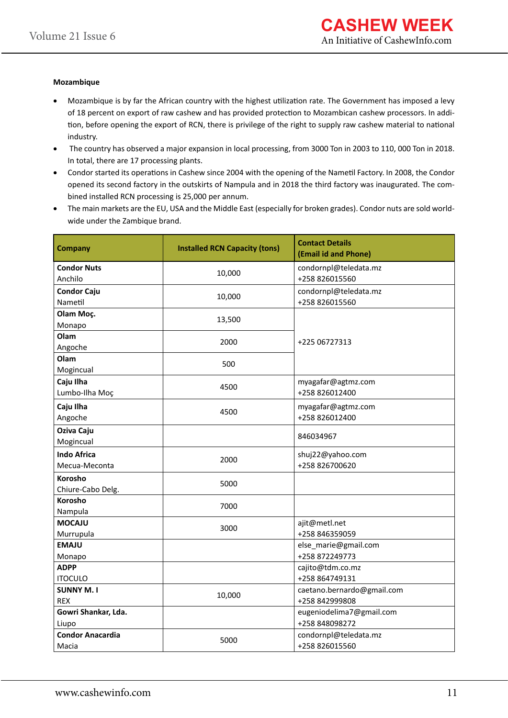#### **Mozambique**

- • Mozambique is by far the African country with the highest utilization rate. The Government has imposed a levy of 18 percent on export of raw cashew and has provided protection to Mozambican cashew processors. In addition, before opening the export of RCN, there is privilege of the right to supply raw cashew material to national industry.
- The country has observed a major expansion in local processing, from 3000 Ton in 2003 to 110, 000 Ton in 2018. In total, there are 17 processing plants.
- • Condor started its operations in Cashew since 2004 with the opening of the Nametil Factory. In 2008, the Condor opened its second factory in the outskirts of Nampula and in 2018 the third factory was inaugurated. The combined installed RCN processing is 25,000 per annum.
- The main markets are the EU, USA and the Middle East (especially for broken grades). Condor nuts are sold worldwide under the Zambique brand.

| <b>Company</b>                      | <b>Installed RCN Capacity (tons)</b> | <b>Contact Details</b><br>(Email id and Phone) |  |
|-------------------------------------|--------------------------------------|------------------------------------------------|--|
| <b>Condor Nuts</b><br>Anchilo       | 10,000                               | condornpl@teledata.mz<br>+258 826015560        |  |
| <b>Condor Caju</b><br>Nametil       | 10,000                               | condornpl@teledata.mz<br>+258 826015560        |  |
| Olam Moç.<br>Monapo                 | 13,500                               |                                                |  |
| Olam<br>Angoche                     | 2000                                 | +225 06727313                                  |  |
| Olam<br>Mogincual                   | 500                                  |                                                |  |
| Caju Ilha<br>Lumbo-Ilha Moç         | 4500                                 | myagafar@agtmz.com<br>+258 826012400           |  |
| Caju Ilha<br>Angoche                | 4500                                 | myagafar@agtmz.com<br>+258 826012400           |  |
| Oziva Caju<br>Mogincual             |                                      | 846034967                                      |  |
| <b>Indo Africa</b><br>Mecua-Meconta | 2000                                 | shuj22@yahoo.com<br>+258 826700620             |  |
| Korosho<br>Chiure-Cabo Delg.        | 5000                                 |                                                |  |
| Korosho<br>Nampula                  | 7000                                 |                                                |  |
| <b>MOCAJU</b><br>Murrupula          | 3000                                 | ajit@metl.net<br>+258 846359059                |  |
| <b>EMAJU</b><br>Monapo              |                                      | else_marie@gmail.com<br>+258 872249773         |  |
| <b>ADPP</b><br><b>ITOCULO</b>       |                                      | cajito@tdm.co.mz<br>+258 864749131             |  |
| <b>SUNNY M.I</b><br><b>REX</b>      | 10,000                               | caetano.bernardo@gmail.com<br>+258 842999808   |  |
| Gowri Shankar, Lda.<br>Liupo        |                                      | eugeniodelima7@gmail.com<br>+258 848098272     |  |
| <b>Condor Anacardia</b><br>Macia    | 5000                                 | condornpl@teledata.mz<br>+258 826015560        |  |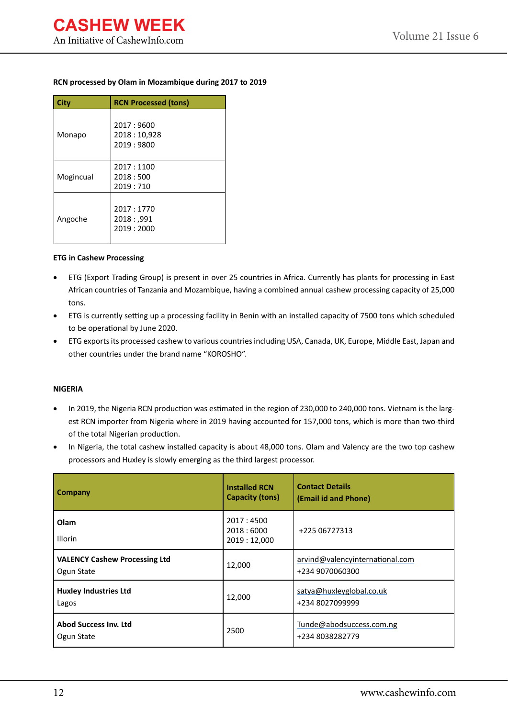#### **RCN processed by Olam in Mozambique during 2017 to 2019**

| <b>City</b> | <b>RCN Processed (tons)</b>           |
|-------------|---------------------------------------|
| Monapo      | 2017:9600<br>2018:10,928<br>2019:9800 |
| Mogincual   | 2017:1100<br>2018:500<br>2019:710     |
| Angoche     | 2017:1770<br>2018: ,991<br>2019:2000  |

#### **ETG in Cashew Processing**

- ETG (Export Trading Group) is present in over 25 countries in Africa. Currently has plants for processing in East African countries of Tanzania and Mozambique, having a combined annual cashew processing capacity of 25,000 tons.
- • ETG is currently setting up a processing facility in Benin with an installed capacity of 7500 tons which scheduled to be operational by June 2020.
- ETG exports its processed cashew to various countries including USA, Canada, UK, Europe, Middle East, Japan and other countries under the brand name "KOROSHO".

#### **NIGERIA**

- In 2019, the Nigeria RCN production was estimated in the region of 230,000 to 240,000 tons. Vietnam is the largest RCN importer from Nigeria where in 2019 having accounted for 157,000 tons, which is more than two-third of the total Nigerian production.
- In Nigeria, the total cashew installed capacity is about 48,000 tons. Olam and Valency are the two top cashew processors and Huxley is slowly emerging as the third largest processor.

| Company                                            | <b>Installed RCN</b><br><b>Capacity (tons)</b> | <b>Contact Details</b><br>(Email id and Phone)     |
|----------------------------------------------------|------------------------------------------------|----------------------------------------------------|
| Olam<br>Illorin                                    | 2017:4500<br>2018:6000<br>2019:12,000          | +225 06727313                                      |
| <b>VALENCY Cashew Processing Ltd</b><br>Ogun State | 12,000                                         | arvind@valencyinternational.com<br>+234 9070060300 |
| <b>Huxley Industries Ltd</b><br>Lagos              | 12,000                                         | satya@huxleyglobal.co.uk<br>+234 8027099999        |
| <b>Abod Success Inv. Ltd</b><br>Ogun State         | 2500                                           | Tunde@abodsuccess.com.ng<br>+234 8038282779        |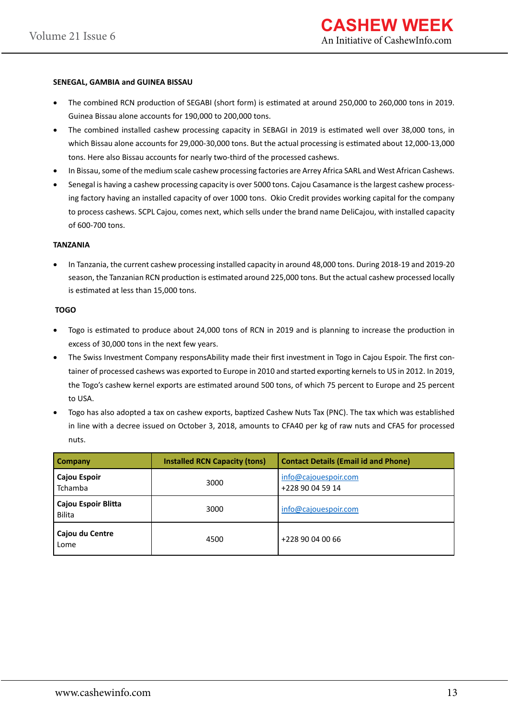#### **SENEGAL, GAMBIA and GUINEA BISSAU**

- The combined RCN production of SEGABI (short form) is estimated at around 250,000 to 260,000 tons in 2019. Guinea Bissau alone accounts for 190,000 to 200,000 tons.
- The combined installed cashew processing capacity in SEBAGI in 2019 is estimated well over 38,000 tons, in which Bissau alone accounts for 29,000-30,000 tons. But the actual processing is estimated about 12,000-13,000 tons. Here also Bissau accounts for nearly two-third of the processed cashews.
- In Bissau, some of the medium scale cashew processing factories are Arrey Africa SARL and West African Cashews.
- Senegal is having a cashew processing capacity is over 5000 tons. Cajou Casamance is the largest cashew processing factory having an installed capacity of over 1000 tons. Okio Credit provides working capital for the company to process cashews. SCPL Cajou, comes next, which sells under the brand name DeliCajou, with installed capacity of 600-700 tons.

#### **TANZANIA**

In Tanzania, the current cashew processing installed capacity in around 48,000 tons. During 2018-19 and 2019-20 season, the Tanzanian RCN production is estimated around 225,000 tons. But the actual cashew processed locally is estimated at less than 15,000 tons.

#### **TOGO**

- Togo is estimated to produce about 24,000 tons of RCN in 2019 and is planning to increase the production in excess of 30,000 tons in the next few years.
- The Swiss Investment Company responsAbility made their first investment in Togo in Cajou Espoir. The first container of processed cashews was exported to Europe in 2010 and started exporting kernels to US in 2012. In 2019, the Togo's cashew kernel exports are estimated around 500 tons, of which 75 percent to Europe and 25 percent to USA.
- Togo has also adopted a tax on cashew exports, baptized Cashew Nuts Tax (PNC). The tax which was established in line with a decree issued on October 3, 2018, amounts to CFA40 per kg of raw nuts and CFA5 for processed nuts.

| <b>Company</b>                       | <b>Installed RCN Capacity (tons)</b> | <b>Contact Details (Email id and Phone)</b> |  |
|--------------------------------------|--------------------------------------|---------------------------------------------|--|
| Cajou Espoir<br><b>Tchamba</b>       | 3000                                 | info@cajouespoir.com<br>+228 90 04 59 14    |  |
| Cajou Espoir Blitta<br><b>Bilita</b> | 3000                                 | info@cajouespoir.com                        |  |
| Cajou du Centre<br>Lome              | 4500                                 | +228 90 04 00 66                            |  |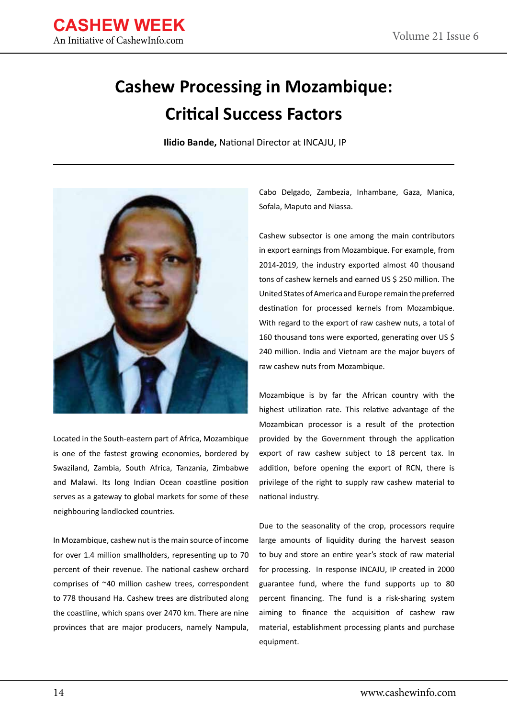

### **Cashew Processing in Mozambique: Critical Success Factors**

 **Ilidio Bande,** National Director at INCAJU, IP



Located in the South-eastern part of Africa, Mozambique is one of the fastest growing economies, bordered by Swaziland, Zambia, South Africa, Tanzania, Zimbabwe and Malawi. Its long Indian Ocean coastline position serves as a gateway to global markets for some of these neighbouring landlocked countries.

In Mozambique, cashew nut is the main source of income for over 1.4 million smallholders, representing up to 70 percent of their revenue. The national cashew orchard comprises of ~40 million cashew trees, correspondent to 778 thousand Ha. Cashew trees are distributed along the coastline, which spans over 2470 km. There are nine provinces that are major producers, namely Nampula,

Cabo Delgado, Zambezia, Inhambane, Gaza, Manica, Sofala, Maputo and Niassa.

Cashew subsector is one among the main contributors in export earnings from Mozambique. For example, from 2014-2019, the industry exported almost 40 thousand tons of cashew kernels and earned US \$ 250 million. The United States of America and Europe remain the preferred destination for processed kernels from Mozambique. With regard to the export of raw cashew nuts, a total of 160 thousand tons were exported, generating over US \$ 240 million. India and Vietnam are the major buyers of raw cashew nuts from Mozambique.

Mozambique is by far the African country with the highest utilization rate. This relative advantage of the Mozambican processor is a result of the protection provided by the Government through the application export of raw cashew subject to 18 percent tax. In addition, before opening the export of RCN, there is privilege of the right to supply raw cashew material to national industry.

Due to the seasonality of the crop, processors require large amounts of liquidity during the harvest season to buy and store an entire year's stock of raw material for processing. In response INCAJU, IP created in 2000 guarantee fund, where the fund supports up to 80 percent financing. The fund is a risk-sharing system aiming to finance the acquisition of cashew raw material, establishment processing plants and purchase equipment.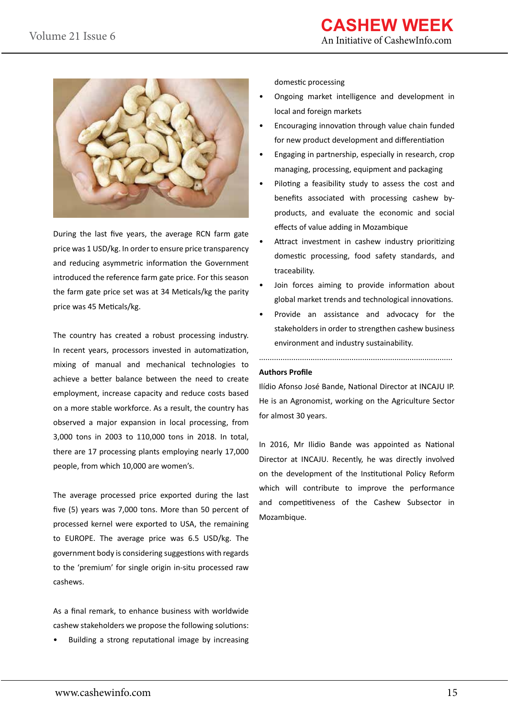

During the last five years, the average RCN farm gate price was 1 USD/kg. In order to ensure price transparency and reducing asymmetric information the Government introduced the reference farm gate price. For this season the farm gate price set was at 34 Meticals/kg the parity price was 45 Meticals/kg.

The country has created a robust processing industry. In recent years, processors invested in automatization, mixing of manual and mechanical technologies to achieve a better balance between the need to create employment, increase capacity and reduce costs based on a more stable workforce. As a result, the country has observed a major expansion in local processing, from 3,000 tons in 2003 to 110,000 tons in 2018. In total, there are 17 processing plants employing nearly 17,000 people, from which 10,000 are women's.

The average processed price exported during the last five (5) years was 7,000 tons. More than 50 percent of processed kernel were exported to USA, the remaining to EUROPE. The average price was 6.5 USD/kg. The government body is considering suggestions with regards to the 'premium' for single origin in-situ processed raw cashews.

As a final remark, to enhance business with worldwide cashew stakeholders we propose the following solutions:

• Building a strong reputational image by increasing

domestic processing

- Ongoing market intelligence and development in local and foreign markets
- Encouraging innovation through value chain funded for new product development and differentiation
- Engaging in partnership, especially in research, crop managing, processing, equipment and packaging
- Piloting a feasibility study to assess the cost and benefits associated with processing cashew byproducts, and evaluate the economic and social effects of value adding in Mozambique
- Attract investment in cashew industry prioritizing domestic processing, food safety standards, and traceability.
- Join forces aiming to provide information about global market trends and technological innovations.
- Provide an assistance and advocacy for the stakeholders in order to strengthen cashew business environment and industry sustainability.

..........................................................................................

#### **Authors Profile**

Ilídio Afonso José Bande, National Director at INCAJU IP. He is an Agronomist, working on the Agriculture Sector for almost 30 years.

In 2016, Mr Ilidio Bande was appointed as National Director at INCAJU. Recently, he was directly involved on the development of the Institutional Policy Reform which will contribute to improve the performance and competitiveness of the Cashew Subsector in Mozambique.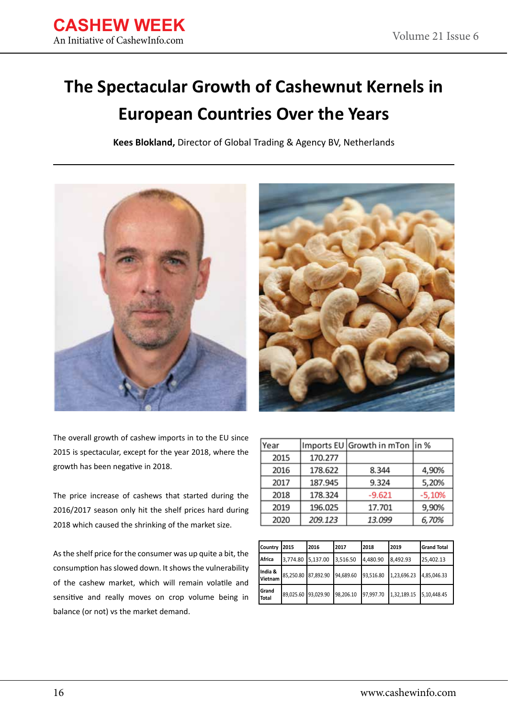### **The Spectacular Growth of Cashewnut Kernels in European Countries Over the Years**

**Kees Blokland,** Director of Global Trading & Agency BV, Netherlands





The overall growth of cashew imports in to the EU since 2015 is spectacular, except for the year 2018, where the growth has been negative in 2018.

The price increase of cashews that started during the 2016/2017 season only hit the shelf prices hard during 2018 which caused the shrinking of the market size.

As the shelf price for the consumer was up quite a bit, the consumption has slowed down. It shows the vulnerability of the cashew market, which will remain volatile and sensitive and really moves on crop volume being in balance (or not) vs the market demand.

| Year |         | Imports EU Growth in mTon in % |          |
|------|---------|--------------------------------|----------|
| 2015 | 170.277 |                                |          |
| 2016 | 178.622 | 8.344                          | 4,90%    |
| 2017 | 187.945 | 9.324                          | 5,20%    |
| 2018 | 178.324 | $-9.621$                       | $-5,10%$ |
| 2019 | 196.025 | 17.701                         | 9,90%    |
| 2020 | 209.123 | 13.099                         | 6,70%    |

| Country 2015          |                     | 2016 | 2017                | 2018      | 2019        | <b>Grand Total</b> |
|-----------------------|---------------------|------|---------------------|-----------|-------------|--------------------|
| Africa                | 3,774.80 5,137.00   |      | 3,516.50            | 4,480.90  | 8,492.93    | 25,402.13          |
| India &<br>Vietnam    | 85,250.80 87,892.90 |      | 94,689.60 93,516.80 |           | 1,23,696.23 | 4.85.046.33        |
| Grand<br><b>Total</b> | 89.025.60 93.029.90 |      | 98.206.10           | 97,997.70 | 1,32,189.15 | 5.10.448.45        |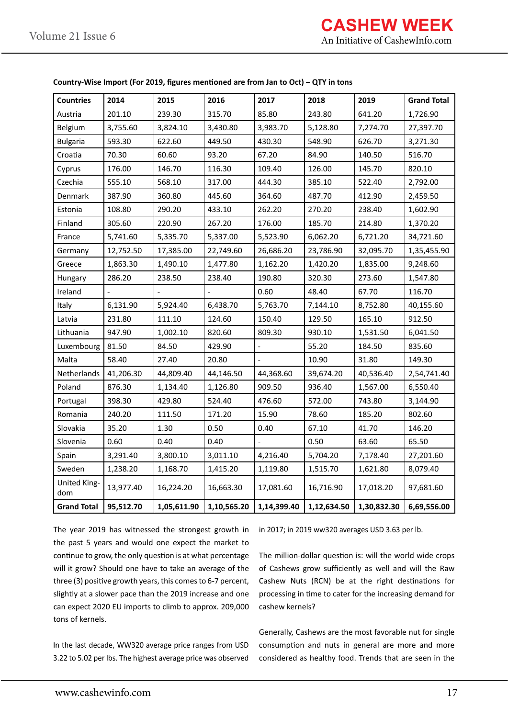| <b>Countries</b>    | 2014      | 2015        | 2016        | 2017                     | 2018        | 2019        | <b>Grand Total</b> |
|---------------------|-----------|-------------|-------------|--------------------------|-------------|-------------|--------------------|
| Austria             | 201.10    | 239.30      | 315.70      | 85.80                    | 243.80      | 641.20      | 1,726.90           |
| Belgium             | 3,755.60  | 3,824.10    | 3,430.80    | 3,983.70                 | 5,128.80    | 7,274.70    | 27,397.70          |
| <b>Bulgaria</b>     | 593.30    | 622.60      | 449.50      | 430.30                   | 548.90      | 626.70      | 3,271.30           |
| Croatia             | 70.30     | 60.60       | 93.20       | 67.20                    | 84.90       | 140.50      | 516.70             |
| Cyprus              | 176.00    | 146.70      | 116.30      | 109.40                   | 126.00      | 145.70      | 820.10             |
| Czechia             | 555.10    | 568.10      | 317.00      | 444.30                   | 385.10      | 522.40      | 2,792.00           |
| Denmark             | 387.90    | 360.80      | 445.60      | 364.60                   | 487.70      | 412.90      | 2,459.50           |
| Estonia             | 108.80    | 290.20      | 433.10      | 262.20                   | 270.20      | 238.40      | 1,602.90           |
| Finland             | 305.60    | 220.90      | 267.20      | 176.00                   | 185.70      | 214.80      | 1,370.20           |
| France              | 5,741.60  | 5,335.70    | 5,337.00    | 5,523.90                 | 6,062.20    | 6,721.20    | 34,721.60          |
| Germany             | 12,752.50 | 17,385.00   | 22,749.60   | 26,686.20                | 23,786.90   | 32,095.70   | 1,35,455.90        |
| Greece              | 1,863.30  | 1,490.10    | 1,477.80    | 1,162.20                 | 1,420.20    | 1,835.00    | 9,248.60           |
| Hungary             | 286.20    | 238.50      | 238.40      | 190.80                   | 320.30      | 273.60      | 1,547.80           |
| Ireland             |           |             |             | 0.60                     | 48.40       | 67.70       | 116.70             |
| Italy               | 6,131.90  | 5,924.40    | 6,438.70    | 5,763.70                 | 7,144.10    | 8,752.80    | 40,155.60          |
| Latvia              | 231.80    | 111.10      | 124.60      | 150.40                   | 129.50      | 165.10      | 912.50             |
| Lithuania           | 947.90    | 1,002.10    | 820.60      | 809.30                   | 930.10      | 1,531.50    | 6,041.50           |
| Luxembourg          | 81.50     | 84.50       | 429.90      | $\overline{\phantom{a}}$ | 55.20       | 184.50      | 835.60             |
| Malta               | 58.40     | 27.40       | 20.80       |                          | 10.90       | 31.80       | 149.30             |
| Netherlands         | 41,206.30 | 44,809.40   | 44,146.50   | 44,368.60                | 39,674.20   | 40,536.40   | 2,54,741.40        |
| Poland              | 876.30    | 1,134.40    | 1,126.80    | 909.50                   | 936.40      | 1,567.00    | 6,550.40           |
| Portugal            | 398.30    | 429.80      | 524.40      | 476.60                   | 572.00      | 743.80      | 3,144.90           |
| Romania             | 240.20    | 111.50      | 171.20      | 15.90                    | 78.60       | 185.20      | 802.60             |
| Slovakia            | 35.20     | 1.30        | 0.50        | 0.40                     | 67.10       | 41.70       | 146.20             |
| Slovenia            | 0.60      | 0.40        | 0.40        |                          | 0.50        | 63.60       | 65.50              |
| Spain               | 3,291.40  | 3,800.10    | 3,011.10    | 4,216.40                 | 5,704.20    | 7,178.40    | 27,201.60          |
| Sweden              | 1,238.20  | 1,168.70    | 1,415.20    | 1,119.80                 | 1,515.70    | 1,621.80    | 8,079.40           |
| United King-<br>dom | 13,977.40 | 16,224.20   | 16,663.30   | 17,081.60                | 16,716.90   | 17,018.20   | 97,681.60          |
| <b>Grand Total</b>  | 95,512.70 | 1,05,611.90 | 1,10,565.20 | 1,14,399.40              | 1,12,634.50 | 1,30,832.30 | 6,69,556.00        |

**Country-Wise Import (For 2019, figures mentioned are from Jan to Oct) – QTY in tons**

The year 2019 has witnessed the strongest growth in the past 5 years and would one expect the market to continue to grow, the only question is at what percentage will it grow? Should one have to take an average of the three (3) positive growth years, this comes to 6-7 percent, slightly at a slower pace than the 2019 increase and one can expect 2020 EU imports to climb to approx. 209,000 tons of kernels.

In the last decade, WW320 average price ranges from USD 3.22 to 5.02 per lbs. The highest average price was observed

in 2017; in 2019 ww320 averages USD 3.63 per lb.

The million-dollar question is: will the world wide crops of Cashews grow sufficiently as well and will the Raw Cashew Nuts (RCN) be at the right destinations for processing in time to cater for the increasing demand for cashew kernels?

Generally, Cashews are the most favorable nut for single consumption and nuts in general are more and more considered as healthy food. Trends that are seen in the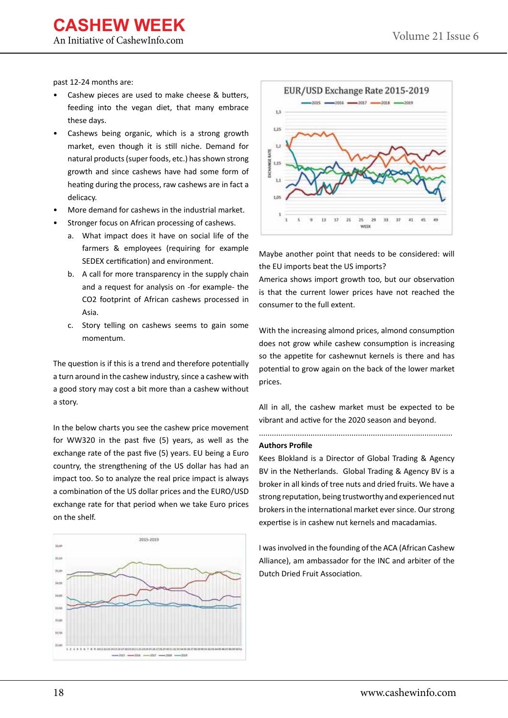An Initiative of CashewInfo.com

past 12-24 months are:

- Cashew pieces are used to make cheese & butters, feeding into the vegan diet, that many embrace these days.
- Cashews being organic, which is a strong growth market, even though it is still niche. Demand for natural products (super foods, etc.) has shown strong growth and since cashews have had some form of heating during the process, raw cashews are in fact a delicacy.
- More demand for cashews in the industrial market.
- Stronger focus on African processing of cashews.
	- a. What impact does it have on social life of the farmers & employees (requiring for example SEDEX certification) and environment.
	- b. A call for more transparency in the supply chain and a request for analysis on -for example- the CO2 footprint of African cashews processed in Asia.
	- c. Story telling on cashews seems to gain some momentum.

The question is if this is a trend and therefore potentially a turn around in the cashew industry, since a cashew with a good story may cost a bit more than a cashew without a story.

In the below charts you see the cashew price movement for WW320 in the past five (5) years, as well as the exchange rate of the past five (5) years. EU being a Euro country, the strengthening of the US dollar has had an impact too. So to analyze the real price impact is always a combination of the US dollar prices and the EURO/USD exchange rate for that period when we take Euro prices on the shelf.





Maybe another point that needs to be considered: will the EU imports beat the US imports?

America shows import growth too, but our observation is that the current lower prices have not reached the consumer to the full extent.

With the increasing almond prices, almond consumption does not grow while cashew consumption is increasing so the appetite for cashewnut kernels is there and has potential to grow again on the back of the lower market prices.

All in all, the cashew market must be expected to be vibrant and active for the 2020 season and beyond.

..........................................................................................

#### **Authors Profile**

Kees Blokland is a Director of Global Trading & Agency BV in the Netherlands. Global Trading & Agency BV is a broker in all kinds of tree nuts and dried fruits. We have a strong reputation, being trustworthy and experienced nut brokers in the international market ever since. Our strong expertise is in cashew nut kernels and macadamias.

I was involved in the founding of the ACA (African Cashew Alliance), am ambassador for the INC and arbiter of the Dutch Dried Fruit Association.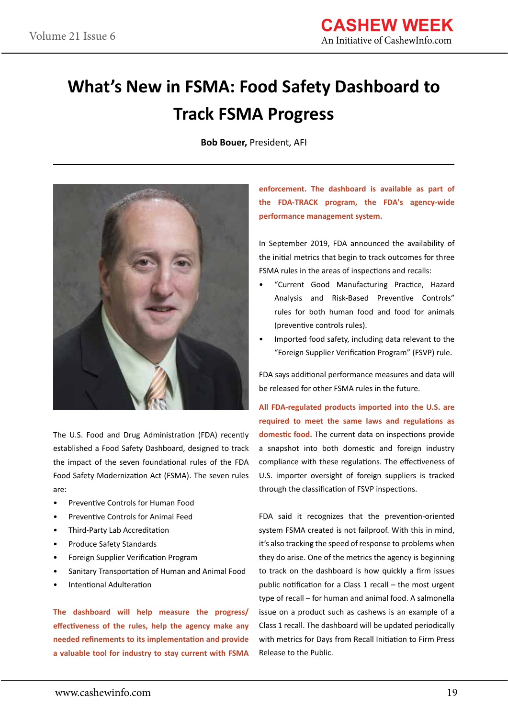# **What's New in FSMA: Food Safety Dashboard to Track FSMA Progress**

**Bob Bouer,** President, AFI



The U.S. Food and Drug Administration (FDA) recently established a Food Safety Dashboard, designed to track the impact of the seven foundational rules of the FDA Food Safety Modernization Act (FSMA). The seven rules are:

- Preventive Controls for Human Food
- Preventive Controls for Animal Feed
- Third-Party Lab Accreditation
- Produce Safety Standards
- Foreign Supplier Verification Program
- Sanitary Transportation of Human and Animal Food
- Intentional Adulteration

**The dashboard will help measure the progress/ effectiveness of the rules, help the agency make any needed refinements to its implementation and provide a valuable tool for industry to stay current with FSMA**  **enforcement. The dashboard is available as part of the FDA-TRACK program, the FDA's agency-wide performance management system.**

In September 2019, FDA announced the availability of the initial metrics that begin to track outcomes for three FSMA rules in the areas of inspections and recalls:

- "Current Good Manufacturing Practice, Hazard Analysis and Risk-Based Preventive Controls" rules for both human food and food for animals (preventive controls rules).
- Imported food safety, including data relevant to the "Foreign Supplier Verification Program" (FSVP) rule.

FDA says additional performance measures and data will be released for other FSMA rules in the future.

**All FDA-regulated products imported into the U.S. are required to meet the same laws and regulations as domestic food.** The current data on inspections provide a snapshot into both domestic and foreign industry compliance with these regulations. The effectiveness of U.S. importer oversight of foreign suppliers is tracked through the classification of FSVP inspections.

FDA said it recognizes that the prevention-oriented system FSMA created is not failproof. With this in mind, it's also tracking the speed of response to problems when they do arise. One of the metrics the agency is beginning to track on the dashboard is how quickly a firm issues public notification for a Class 1 recall – the most urgent type of recall – for human and animal food. A salmonella issue on a product such as cashews is an example of a Class 1 recall. The dashboard will be updated periodically with metrics for Days from Recall Initiation to Firm Press Release to the Public.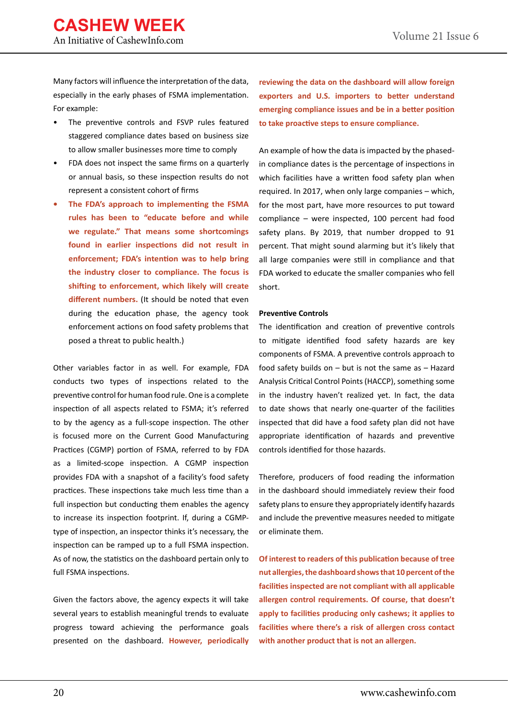Many factors will influence the interpretation of the data, especially in the early phases of FSMA implementation. For example:

- The preventive controls and FSVP rules featured staggered compliance dates based on business size to allow smaller businesses more time to comply
- FDA does not inspect the same firms on a quarterly or annual basis, so these inspection results do not represent a consistent cohort of firms
- **• The FDA's approach to implementing the FSMA rules has been to "educate before and while we regulate." That means some shortcomings found in earlier inspections did not result in enforcement; FDA's intention was to help bring the industry closer to compliance. The focus is shifting to enforcement, which likely will create different numbers.** (It should be noted that even during the education phase, the agency took enforcement actions on food safety problems that posed a threat to public health.)

Other variables factor in as well. For example, FDA conducts two types of inspections related to the preventive control for human food rule. One is a complete inspection of all aspects related to FSMA; it's referred to by the agency as a full-scope inspection. The other is focused more on the Current Good Manufacturing Practices (CGMP) portion of FSMA, referred to by FDA as a limited-scope inspection. A CGMP inspection provides FDA with a snapshot of a facility's food safety practices. These inspections take much less time than a full inspection but conducting them enables the agency to increase its inspection footprint. If, during a CGMPtype of inspection, an inspector thinks it's necessary, the inspection can be ramped up to a full FSMA inspection. As of now, the statistics on the dashboard pertain only to full FSMA inspections.

Given the factors above, the agency expects it will take several years to establish meaningful trends to evaluate progress toward achieving the performance goals presented on the dashboard. **However, periodically**  **reviewing the data on the dashboard will allow foreign exporters and U.S. importers to better understand emerging compliance issues and be in a better position to take proactive steps to ensure compliance.**

An example of how the data is impacted by the phasedin compliance dates is the percentage of inspections in which facilities have a written food safety plan when required. In 2017, when only large companies – which, for the most part, have more resources to put toward compliance – were inspected, 100 percent had food safety plans. By 2019, that number dropped to 91 percent. That might sound alarming but it's likely that all large companies were still in compliance and that FDA worked to educate the smaller companies who fell short.

#### **Preventive Controls**

The identification and creation of preventive controls to mitigate identified food safety hazards are key components of FSMA. A preventive controls approach to food safety builds on – but is not the same as – Hazard Analysis Critical Control Points (HACCP), something some in the industry haven't realized yet. In fact, the data to date shows that nearly one-quarter of the facilities inspected that did have a food safety plan did not have appropriate identification of hazards and preventive controls identified for those hazards.

Therefore, producers of food reading the information in the dashboard should immediately review their food safety plans to ensure they appropriately identify hazards and include the preventive measures needed to mitigate or eliminate them.

**Of interest to readers of this publication because of tree nut allergies, the dashboard shows that 10 percent of the facilities inspected are not compliant with all applicable allergen control requirements. Of course, that doesn't apply to facilities producing only cashews; it applies to facilities where there's a risk of allergen cross contact with another product that is not an allergen.**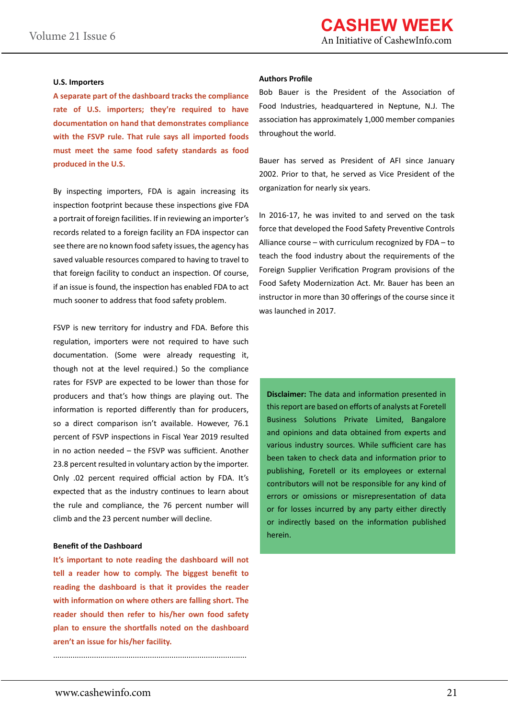#### **U.S. Importers**

**A separate part of the dashboard tracks the compliance rate of U.S. importers; they're required to have documentation on hand that demonstrates compliance with the FSVP rule. That rule says all imported foods must meet the same food safety standards as food produced in the U.S.** 

By inspecting importers, FDA is again increasing its inspection footprint because these inspections give FDA a portrait of foreign facilities. If in reviewing an importer's records related to a foreign facility an FDA inspector can see there are no known food safety issues, the agency has saved valuable resources compared to having to travel to that foreign facility to conduct an inspection. Of course, if an issue is found, the inspection has enabled FDA to act much sooner to address that food safety problem.

FSVP is new territory for industry and FDA. Before this regulation, importers were not required to have such documentation. (Some were already requesting it, though not at the level required.) So the compliance rates for FSVP are expected to be lower than those for producers and that's how things are playing out. The information is reported differently than for producers, so a direct comparison isn't available. However, 76.1 percent of FSVP inspections in Fiscal Year 2019 resulted in no action needed – the FSVP was sufficient. Another 23.8 percent resulted in voluntary action by the importer. Only .02 percent required official action by FDA. It's expected that as the industry continues to learn about the rule and compliance, the 76 percent number will climb and the 23 percent number will decline.

#### **Benefit of the Dashboard**

**It's important to note reading the dashboard will not tell a reader how to comply. The biggest benefit to reading the dashboard is that it provides the reader with information on where others are falling short. The reader should then refer to his/her own food safety plan to ensure the shortfalls noted on the dashboard aren't an issue for his/her facility.**

..........................................................................................

#### **Authors Profile**

Bob Bauer is the President of the Association of Food Industries, headquartered in Neptune, N.J. The association has approximately 1,000 member companies throughout the world.

Bauer has served as President of AFI since January 2002. Prior to that, he served as Vice President of the organization for nearly six years.

In 2016-17, he was invited to and served on the task force that developed the Food Safety Preventive Controls Alliance course – with curriculum recognized by FDA – to teach the food industry about the requirements of the Foreign Supplier Verification Program provisions of the Food Safety Modernization Act. Mr. Bauer has been an instructor in more than 30 offerings of the course since it was launched in 2017.

**Disclaimer:** The data and information presented in this report are based on efforts of analysts at Foretell Business Solutions Private Limited, Bangalore and opinions and data obtained from experts and various industry sources. While sufficient care has been taken to check data and information prior to publishing, Foretell or its employees or external contributors will not be responsible for any kind of errors or omissions or misrepresentation of data or for losses incurred by any party either directly or indirectly based on the information published herein.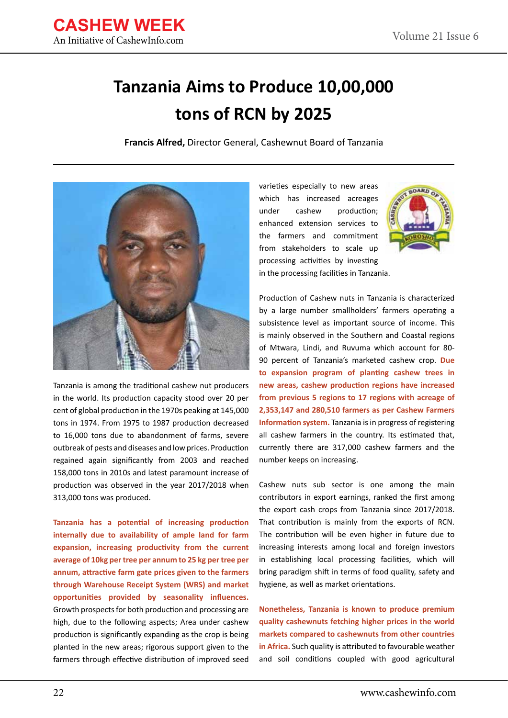

# **Tanzania Aims to Produce 10,00,000 tons of RCN by 2025**

**Francis Alfred,** Director General, Cashewnut Board of Tanzania



Tanzania is among the traditional cashew nut producers in the world. Its production capacity stood over 20 per cent of global production in the 1970s peaking at 145,000 tons in 1974. From 1975 to 1987 production decreased to 16,000 tons due to abandonment of farms, severe outbreak of pests and diseases and low prices. Production regained again significantly from 2003 and reached 158,000 tons in 2010s and latest paramount increase of production was observed in the year 2017/2018 when 313,000 tons was produced.

**Tanzania has a potential of increasing production internally due to availability of ample land for farm expansion, increasing productivity from the current average of 10kg per tree per annum to 25 kg per tree per annum, attractive farm gate prices given to the farmers through Warehouse Receipt System (WRS) and market opportunities provided by seasonality influences.**  Growth prospects for both production and processing are high, due to the following aspects; Area under cashew production is significantly expanding as the crop is being planted in the new areas; rigorous support given to the farmers through effective distribution of improved seed

varieties especially to new areas which has increased acreages under cashew production; enhanced extension services to the farmers and commitment from stakeholders to scale up processing activities by investing in the processing facilities in Tanzania.



Production of Cashew nuts in Tanzania is characterized by a large number smallholders' farmers operating a subsistence level as important source of income. This is mainly observed in the Southern and Coastal regions of Mtwara, Lindi, and Ruvuma which account for 80- 90 percent of Tanzania's marketed cashew crop. **Due to expansion program of planting cashew trees in new areas, cashew production regions have increased from previous 5 regions to 17 regions with acreage of 2,353,147 and 280,510 farmers as per Cashew Farmers Information system.** Tanzania is in progress of registering all cashew farmers in the country. Its estimated that, currently there are 317,000 cashew farmers and the number keeps on increasing.

Cashew nuts sub sector is one among the main contributors in export earnings, ranked the first among the export cash crops from Tanzania since 2017/2018. That contribution is mainly from the exports of RCN. The contribution will be even higher in future due to increasing interests among local and foreign investors in establishing local processing facilities, which will bring paradigm shift in terms of food quality, safety and hygiene, as well as market orientations.

**Nonetheless, Tanzania is known to produce premium quality cashewnuts fetching higher prices in the world markets compared to cashewnuts from other countries in Africa.** Such quality is attributed to favourable weather and soil conditions coupled with good agricultural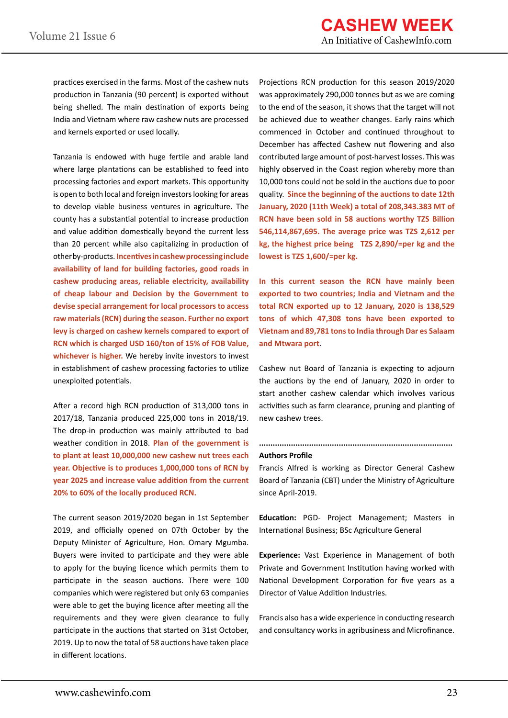practices exercised in the farms. Most of the cashew nuts production in Tanzania (90 percent) is exported without being shelled. The main destination of exports being India and Vietnam where raw cashew nuts are processed and kernels exported or used locally.

Tanzania is endowed with huge fertile and arable land where large plantations can be established to feed into processing factories and export markets. This opportunity is open to both local and foreign investors looking for areas to develop viable business ventures in agriculture. The county has a substantial potential to increase production and value addition domestically beyond the current less than 20 percent while also capitalizing in production of other by-products. **Incentives in cashew processing include availability of land for building factories, good roads in cashew producing areas, reliable electricity, availability of cheap labour and Decision by the Government to devise special arrangement for local processors to access raw materials (RCN) during the season. Further no export levy is charged on cashew kernels compared to export of RCN which is charged USD 160/ton of 15% of FOB Value,**  whichever is higher. We hereby invite investors to invest in establishment of cashew processing factories to utilize unexploited potentials.

After a record high RCN production of 313,000 tons in 2017/18, Tanzania produced 225,000 tons in 2018/19. The drop-in production was mainly attributed to bad weather condition in 2018. **Plan of the government is to plant at least 10,000,000 new cashew nut trees each year. Objective is to produces 1,000,000 tons of RCN by year 2025 and increase value addition from the current 20% to 60% of the locally produced RCN.** 

The current season 2019/2020 began in 1st September 2019, and officially opened on 07th October by the Deputy Minister of Agriculture, Hon. Omary Mgumba. Buyers were invited to participate and they were able to apply for the buying licence which permits them to participate in the season auctions. There were 100 companies which were registered but only 63 companies were able to get the buying licence after meeting all the requirements and they were given clearance to fully participate in the auctions that started on 31st October, 2019. Up to now the total of 58 auctions have taken place in different locations.

Projections RCN production for this season 2019/2020 was approximately 290,000 tonnes but as we are coming to the end of the season, it shows that the target will not be achieved due to weather changes. Early rains which commenced in October and continued throughout to December has affected Cashew nut flowering and also contributed large amount of post-harvest losses. This was highly observed in the Coast region whereby more than 10,000 tons could not be sold in the auctions due to poor quality. **Since the beginning of the auctions to date 12th January, 2020 (11th Week) a total of 208,343.383 MT of RCN have been sold in 58 auctions worthy TZS Billion 546,114,867,695. The average price was TZS 2,612 per kg, the highest price being TZS 2,890/=per kg and the lowest is TZS 1,600/=per kg.**

**In this current season the RCN have mainly been exported to two countries; India and Vietnam and the total RCN exported up to 12 January, 2020 is 138,529 tons of which 47,308 tons have been exported to Vietnam and 89,781 tons to India through Dar es Salaam and Mtwara port**.

Cashew nut Board of Tanzania is expecting to adjourn the auctions by the end of January, 2020 in order to start another cashew calendar which involves various activities such as farm clearance, pruning and planting of new cashew trees.

#### **Authors Profile**

Francis Alfred is working as Director General Cashew Board of Tanzania (CBT) under the Ministry of Agriculture since April-2019.

**.....................................................................................**

**Education:** PGD- Project Management; Masters in International Business; BSc Agriculture General

**Experience:** Vast Experience in Management of both Private and Government Institution having worked with National Development Corporation for five years as a Director of Value Addition Industries.

Francis also has a wide experience in conducting research and consultancy works in agribusiness and Microfinance.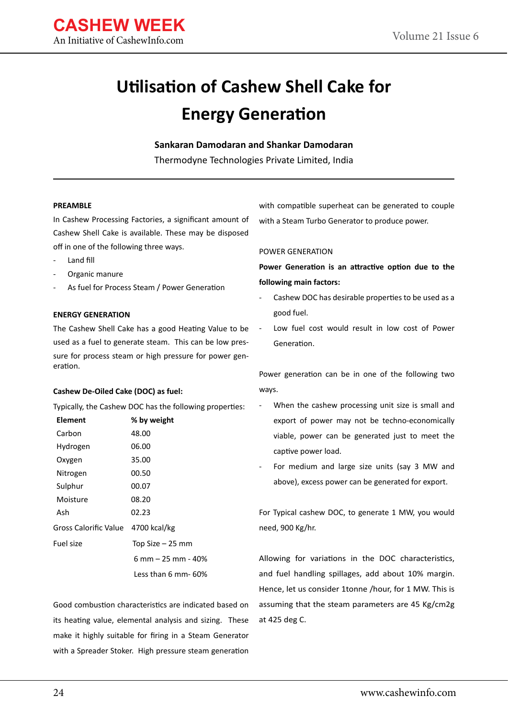

### **Utilisation of Cashew Shell Cake for Energy Generation**

**Sankaran Damodaran and Shankar Damodaran**

Thermodyne Technologies Private Limited, India

#### **PREAMBLE**

In Cashew Processing Factories, a significant amount of Cashew Shell Cake is available. These may be disposed off in one of the following three ways.

- Land fill
- Organic manure
- As fuel for Process Steam / Power Generation

#### **ENERGY GENERATION**

The Cashew Shell Cake has a good Heating Value to be used as a fuel to generate steam. This can be low pressure for process steam or high pressure for power generation.

#### **Cashew De-Oiled Cake (DOC) as fuel:**

Typically, the Cashew DOC has the following properties:

| Element                            | % by weight         |  |  |  |
|------------------------------------|---------------------|--|--|--|
| Carbon                             | 48.00               |  |  |  |
| Hydrogen                           | 06.00               |  |  |  |
| Oxygen                             | 35.00               |  |  |  |
| Nitrogen                           | 00.50               |  |  |  |
| Sulphur                            | 00.07               |  |  |  |
| Moisture                           | 08.20               |  |  |  |
| Ash                                | 02.23               |  |  |  |
| Gross Calorific Value 4700 kcal/kg |                     |  |  |  |
| Fuel size                          | Top Size – 25 mm    |  |  |  |
|                                    | 6 mm – 25 mm - 40%  |  |  |  |
|                                    | Less than 6 mm- 60% |  |  |  |

Good combustion characteristics are indicated based on its heating value, elemental analysis and sizing. These make it highly suitable for firing in a Steam Generator with a Spreader Stoker. High pressure steam generation

with compatible superheat can be generated to couple with a Steam Turbo Generator to produce power.

#### POWER GENERATION

**Power Generation is an attractive option due to the following main factors:**

- Cashew DOC has desirable properties to be used as a good fuel.
- Low fuel cost would result in low cost of Power Generation.

Power generation can be in one of the following two ways.

- When the cashew processing unit size is small and export of power may not be techno-economically viable, power can be generated just to meet the captive power load.
- For medium and large size units (say 3 MW and above), excess power can be generated for export.

For Typical cashew DOC, to generate 1 MW, you would need, 900 Kg/hr.

Allowing for variations in the DOC characteristics, and fuel handling spillages, add about 10% margin. Hence, let us consider 1tonne /hour, for 1 MW. This is assuming that the steam parameters are 45 Kg/cm2g at 425 deg C.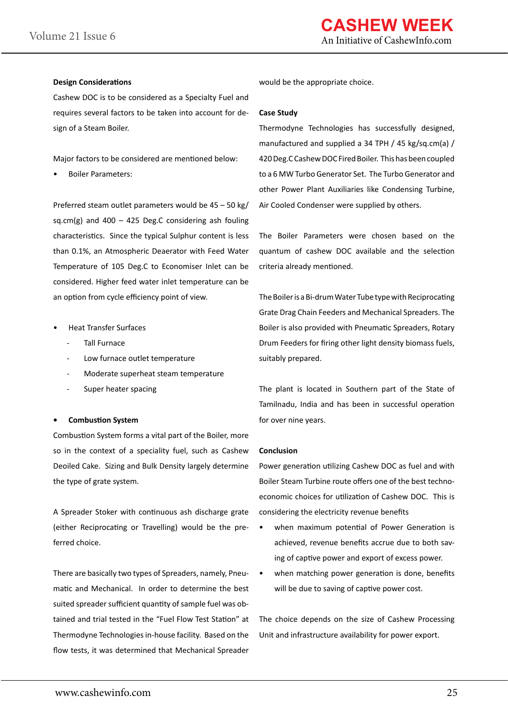#### **Design Considerations**

Cashew DOC is to be considered as a Specialty Fuel and requires several factors to be taken into account for design of a Steam Boiler.

Major factors to be considered are mentioned below:

• Boiler Parameters:

Preferred steam outlet parameters would be 45 – 50 kg/ sq.cm(g) and  $400 - 425$  Deg.C considering ash fouling characteristics. Since the typical Sulphur content is less than 0.1%, an Atmospheric Deaerator with Feed Water Temperature of 105 Deg.C to Economiser Inlet can be considered. Higher feed water inlet temperature can be an option from cycle efficiency point of view.

- Heat Transfer Surfaces
	- Tall Furnace
	- Low furnace outlet temperature
	- Moderate superheat steam temperature
	- Super heater spacing

#### **• Combustion System**

Combustion System forms a vital part of the Boiler, more so in the context of a speciality fuel, such as Cashew Deoiled Cake. Sizing and Bulk Density largely determine the type of grate system.

A Spreader Stoker with continuous ash discharge grate (either Reciprocating or Travelling) would be the preferred choice.

There are basically two types of Spreaders, namely, Pneumatic and Mechanical. In order to determine the best suited spreader sufficient quantity of sample fuel was obtained and trial tested in the "Fuel Flow Test Station" at Thermodyne Technologies in-house facility. Based on the flow tests, it was determined that Mechanical Spreader

would be the appropriate choice.

#### **Case Study**

Thermodyne Technologies has successfully designed, manufactured and supplied a 34 TPH / 45 kg/sq.cm(a) / 420 Deg.C Cashew DOC Fired Boiler. This has been coupled to a 6 MW Turbo Generator Set. The Turbo Generator and other Power Plant Auxiliaries like Condensing Turbine, Air Cooled Condenser were supplied by others.

The Boiler Parameters were chosen based on the quantum of cashew DOC available and the selection criteria already mentioned.

The Boiler is a Bi-drum Water Tube type with Reciprocating Grate Drag Chain Feeders and Mechanical Spreaders. The Boiler is also provided with Pneumatic Spreaders, Rotary Drum Feeders for firing other light density biomass fuels, suitably prepared.

The plant is located in Southern part of the State of Tamilnadu, India and has been in successful operation for over nine years.

#### **Conclusion**

Power generation utilizing Cashew DOC as fuel and with Boiler Steam Turbine route offers one of the best technoeconomic choices for utilization of Cashew DOC. This is considering the electricity revenue benefits

- when maximum potential of Power Generation is achieved, revenue benefits accrue due to both saving of captive power and export of excess power.
- when matching power generation is done, benefits will be due to saving of captive power cost.

The choice depends on the size of Cashew Processing Unit and infrastructure availability for power export.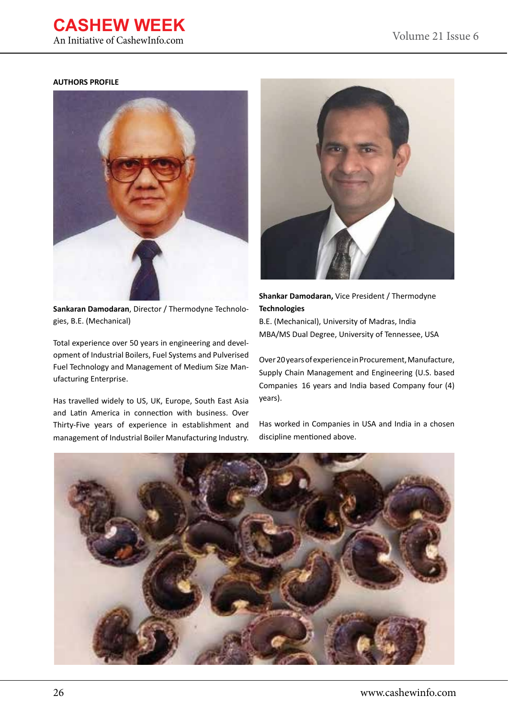### **CASHEW WEEK**

An Initiative of CashewInfo.com

#### **AUTHORS PROFILE**



**Sankaran Damodaran**, Director / Thermodyne Technologies, B.E. (Mechanical)

Total experience over 50 years in engineering and development of Industrial Boilers, Fuel Systems and Pulverised Fuel Technology and Management of Medium Size Manufacturing Enterprise.

Has travelled widely to US, UK, Europe, South East Asia and Latin America in connection with business. Over Thirty-Five years of experience in establishment and management of Industrial Boiler Manufacturing Industry.



**Shankar Damodaran,** Vice President / Thermodyne **Technologies**

B.E. (Mechanical), University of Madras, India MBA/MS Dual Degree, University of Tennessee, USA

Over 20 years of experience in Procurement, Manufacture, Supply Chain Management and Engineering (U.S. based Companies 16 years and India based Company four (4) years).

Has worked in Companies in USA and India in a chosen discipline mentioned above.

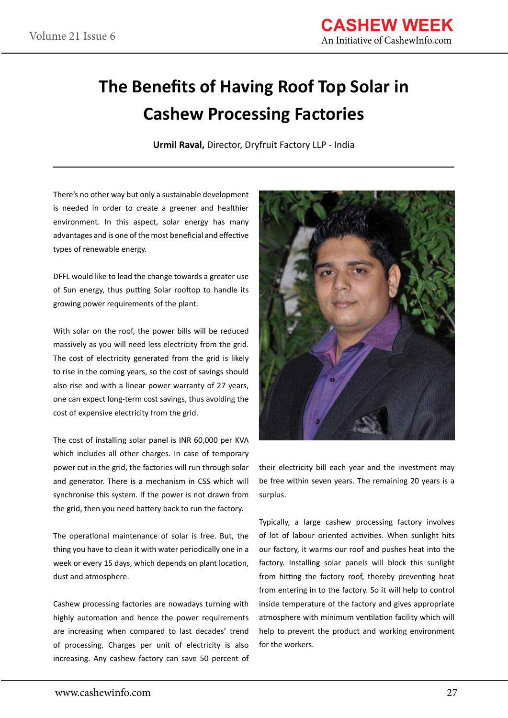### **The Benefits of Having Roof Top Solar in Cashew Processing Factories**

**Urmil Raval,** Director, Dryfruit Factory LLP - India

There's no other way but only a sustainable development is needed in order to create a greener and healthier environment. In this aspect, solar energy has many advantages and is one of the most beneficial and effective types of renewable energy.

DFFL would like to lead the change towards a greater use of Sun energy, thus putting Solar rooftop to handle its growing power requirements of the plant.

With solar on the roof, the power bills will be reduced massively as you will need less electricity from the grid. The cost of electricity generated from the grid is likely to rise in the coming years, so the cost of savings should also rise and with a linear power warranty of 27 years, one can expect long-term cost savings, thus avoiding the cost of expensive electricity from the grid.

The cost of installing solar panel is INR 60,000 per KVA which includes all other charges. In case of temporary power cut in the grid, the factories will run through solar and generator. There is a mechanism in CSS which will synchronise this system. If the power is not drawn from the grid, then you need battery back to run the factory.

The operational maintenance of solar is free. But, the thing you have to clean it with water periodically one in a week or every 15 days, which depends on plant location, dust and atmosphere.

Cashew processing factories are nowadays turning with highly automation and hence the power requirements are increasing when compared to last decades' trend of processing. Charges per unit of electricity is also increasing. Any cashew factory can save 50 percent of



their electricity bill each year and the investment may be free within seven years. The remaining 20 years is a surplus.

Typically, a large cashew processing factory involves of lot of labour oriented activities. When sunlight hits our factory, it warms our roof and pushes heat into the factory. Installing solar panels will block this sunlight from hitting the factory roof, thereby preventing heat from entering in to the factory. So it will help to control inside temperature of the factory and gives appropriate atmosphere with minimum ventilation facility which will help to prevent the product and working environment for the workers.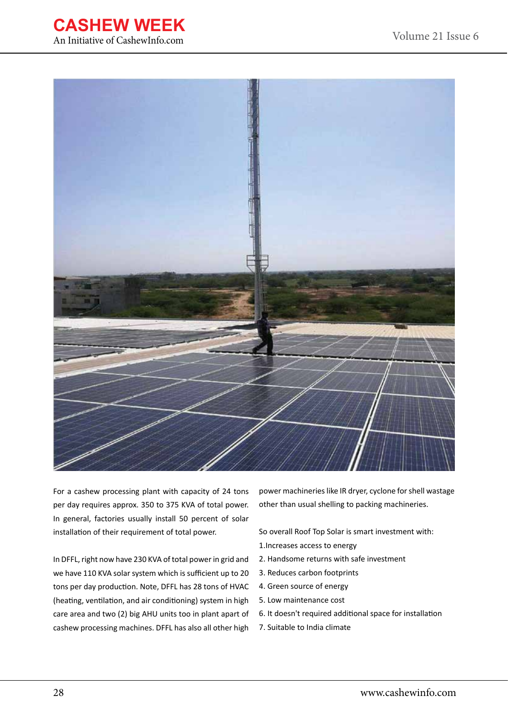



For a cashew processing plant with capacity of 24 tons per day requires approx. 350 to 375 KVA of total power. In general, factories usually install 50 percent of solar installation of their requirement of total power.

In DFFL, right now have 230 KVA of total power in grid and we have 110 KVA solar system which is sufficient up to 20 tons per day production. Note, DFFL has 28 tons of HVAC (heating, ventilation, and air conditioning) system in high care area and two (2) big AHU units too in plant apart of cashew processing machines. DFFL has also all other high

power machineries like IR dryer, cyclone for shell wastage other than usual shelling to packing machineries.

So overall Roof Top Solar is smart investment with: 1.Increases access to energy

- 2. Handsome returns with safe investment
- 3. Reduces carbon footprints
- 4. Green source of energy
- 5. Low maintenance cost
- 6. It doesn't required additional space for installation
- 7. Suitable to India climate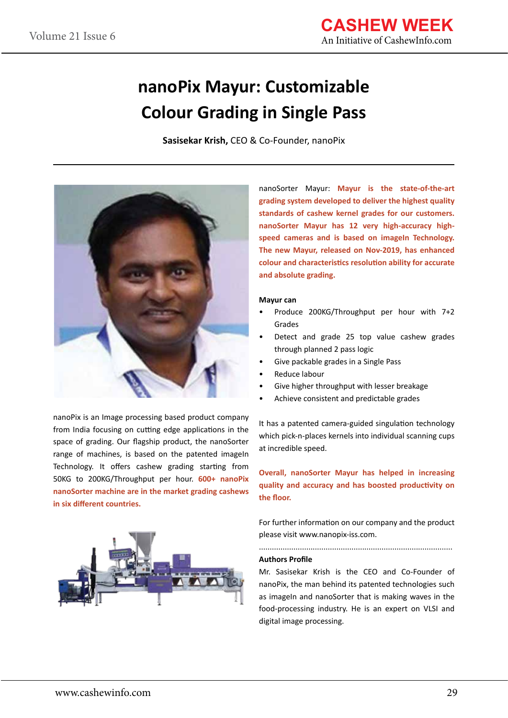### **nanoPix Mayur: Customizable Colour Grading in Single Pass**

**Sasisekar Krish,** CEO & Co-Founder, nanoPix



nanoPix is an Image processing based product company from India focusing on cutting edge applications in the space of grading. Our flagship product, the nanoSorter range of machines, is based on the patented imageIn Technology. It offers cashew grading starting from 50KG to 200KG/Throughput per hour. **600+ nanoPix nanoSorter machine are in the market grading cashews in six different countries.**



nanoSorter Mayur: **Mayur is the state-of-the-art grading system developed to deliver the highest quality standards of cashew kernel grades for our customers. nanoSorter Mayur has 12 very high-accuracy high**speed cameras and is based on imageIn Technology. **The new Mayur, released on Nov-2019, has enhanced colour and characteristics resolution ability for accurate and absolute grading.** 

#### **Mayur can**

- Produce 200KG/Throughput per hour with 7+2 Grades
- Detect and grade 25 top value cashew grades through planned 2 pass logic
- Give packable grades in a Single Pass
- Reduce labour
- Give higher throughput with lesser breakage
- Achieve consistent and predictable grades

It has a patented camera-guided singulation technology which pick-n-places kernels into individual scanning cups at incredible speed.

**Overall, nanoSorter Mayur has helped in increasing quality and accuracy and has boosted productivity on the floor.**

For further information on our company and the product please visit www.nanopix-iss.com.

..........................................................................................

#### **Authors Profile**

Mr. Sasisekar Krish is the CEO and Co-Founder of nanoPix, the man behind its patented technologies such as imageIn and nanoSorter that is making waves in the food-processing industry. He is an expert on VLSI and digital image processing.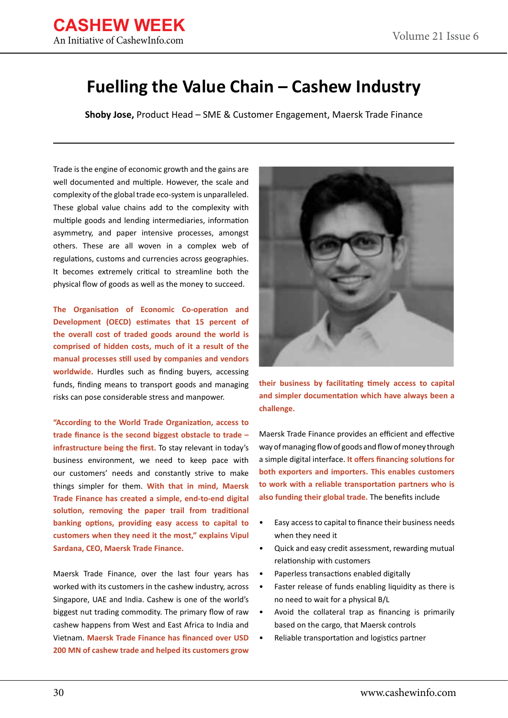### **Fuelling the Value Chain – Cashew Industry**

**Shoby Jose,** Product Head – SME & Customer Engagement, Maersk Trade Finance

Trade is the engine of economic growth and the gains are well documented and multiple. However, the scale and complexity of the global trade eco-system is unparalleled. These global value chains add to the complexity with multiple goods and lending intermediaries, information asymmetry, and paper intensive processes, amongst others. These are all woven in a complex web of regulations, customs and currencies across geographies. It becomes extremely critical to streamline both the physical flow of goods as well as the money to succeed.

**The Organisation of Economic Co-operation and Development (OECD) estimates that 15 percent of the overall cost of traded goods around the world is comprised of hidden costs, much of it a result of the manual processes still used by companies and vendors worldwide.** Hurdles such as finding buyers, accessing funds, finding means to transport goods and managing risks can pose considerable stress and manpower.

**"According to the World Trade Organization, access to trade finance is the second biggest obstacle to trade – infrastructure being the first.** To stay relevant in today's business environment, we need to keep pace with our customers' needs and constantly strive to make things simpler for them. **With that in mind, Maersk Trade Finance has created a simple, end-to-end digital solution, removing the paper trail from traditional banking options, providing easy access to capital to customers when they need it the most," explains Vipul Sardana, CEO, Maersk Trade Finance.** 

Maersk Trade Finance, over the last four years has worked with its customers in the cashew industry, across Singapore, UAE and India. Cashew is one of the world's biggest nut trading commodity. The primary flow of raw cashew happens from West and East Africa to India and Vietnam. **Maersk Trade Finance has financed over USD 200 MN of cashew trade and helped its customers grow** 



**their business by facilitating timely access to capital and simpler documentation which have always been a challenge.** 

Maersk Trade Finance provides an efficient and effective way of managing flow of goods and flow of money through a simple digital interface. **It offers financing solutions for both exporters and importers. This enables customers to work with a reliable transportation partners who is also funding their global trade.** The benefits include

- Easy access to capital to finance their business needs when they need it
- Quick and easy credit assessment, rewarding mutual relationship with customers
- Paperless transactions enabled digitally
- Faster release of funds enabling liquidity as there is no need to wait for a physical B/L
- Avoid the collateral trap as financing is primarily based on the cargo, that Maersk controls
- Reliable transportation and logistics partner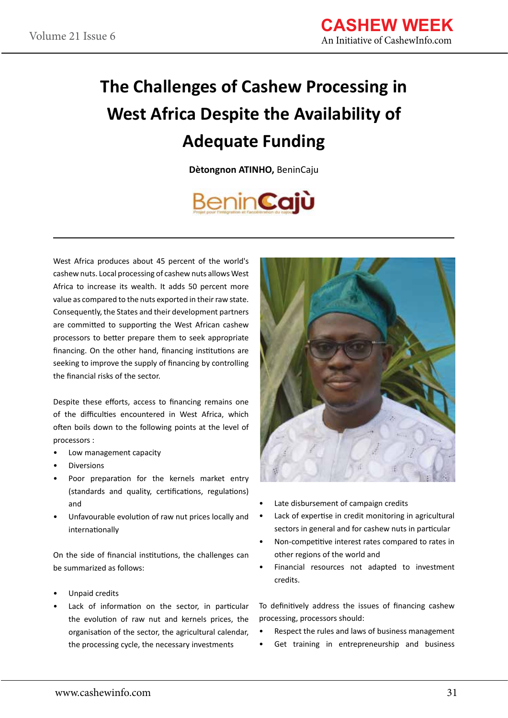# **The Challenges of Cashew Processing in West Africa Despite the Availability of Adequate Funding**

**Dètongnon ATINHO,** BeninCaju

# **BeninCajù**

West Africa produces about 45 percent of the world's cashew nuts. Local processing of cashew nuts allows West Africa to increase its wealth. It adds 50 percent more value as compared to the nuts exported in their raw state. Consequently, the States and their development partners are committed to supporting the West African cashew processors to better prepare them to seek appropriate financing. On the other hand, financing institutions are seeking to improve the supply of financing by controlling the financial risks of the sector.

Despite these efforts, access to financing remains one of the difficulties encountered in West Africa, which often boils down to the following points at the level of processors :

- Low management capacity
- **Diversions**
- Poor preparation for the kernels market entry (standards and quality, certifications, regulations) and
- Unfavourable evolution of raw nut prices locally and internationally

On the side of financial institutions, the challenges can be summarized as follows:

- Unpaid credits
- Lack of information on the sector, in particular the evolution of raw nut and kernels prices, the organisation of the sector, the agricultural calendar, the processing cycle, the necessary investments



- Late disbursement of campaign credits
- Lack of expertise in credit monitoring in agricultural sectors in general and for cashew nuts in particular
- Non-competitive interest rates compared to rates in other regions of the world and
- Financial resources not adapted to investment credits.

To definitively address the issues of financing cashew processing, processors should:

- Respect the rules and laws of business management
- Get training in entrepreneurship and business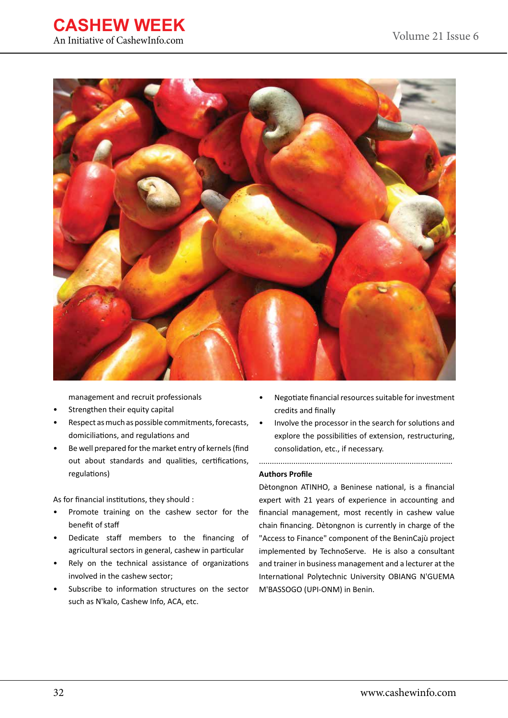



management and recruit professionals

- Strengthen their equity capital
- Respect as much as possible commitments, forecasts, domiciliations, and regulations and
- Be well prepared for the market entry of kernels (find out about standards and qualities, certifications, regulations)

As for financial institutions, they should :

- Promote training on the cashew sector for the benefit of staff
- Dedicate staff members to the financing of agricultural sectors in general, cashew in particular
- Rely on the technical assistance of organizations involved in the cashew sector;
- Subscribe to information structures on the sector such as N'kalo, Cashew Info, ACA, etc.
- Negotiate financial resources suitable for investment credits and finally
- Involve the processor in the search for solutions and explore the possibilities of extension, restructuring, consolidation, etc., if necessary.

..........................................................................................

#### **Authors Profile**

Dètongnon ATINHO, a Beninese national, is a financial expert with 21 years of experience in accounting and financial management, most recently in cashew value chain financing. Dètongnon is currently in charge of the "Access to Finance" component of the BeninCajù project implemented by TechnoServe. He is also a consultant and trainer in business management and a lecturer at the International Polytechnic University OBIANG N'GUEMA M'BASSOGO (UPI-ONM) in Benin.